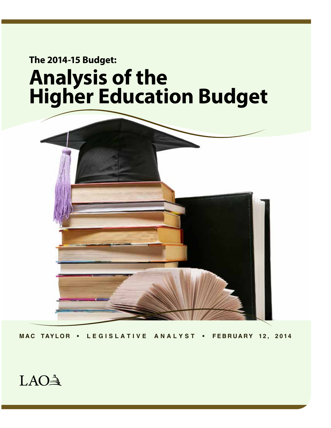# **The 2014-15 Budget: Analysis of the Higher Education Budget**



MAC TAYLOR • LEGISLATIVE ANALYST • FEBRUARY 12, 2014

LAOL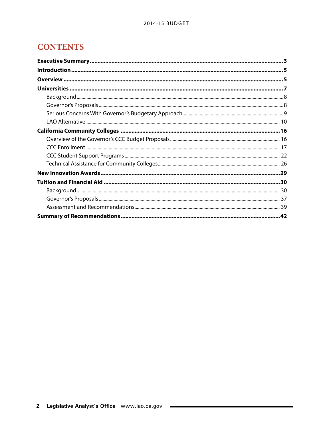## **CONTENTS**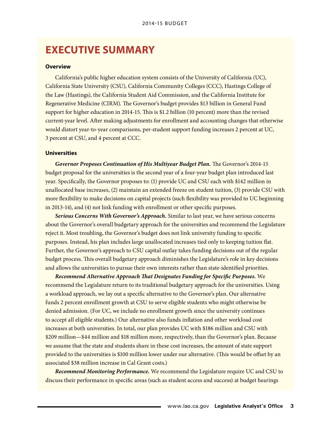# **EXECUTIVE SUMMARY**

### **Overview**

California's public higher education system consists of the University of California (UC), California State University (CSU), California Community Colleges (CCC), Hastings College of the Law (Hastings), the California Student Aid Commission, and the California Institute for Regenerative Medicine (CIRM). The Governor's budget provides \$13 billion in General Fund support for higher education in 2014-15. This is \$1.2 billion (10 percent) more than the revised current-year level. After making adjustments for enrollment and accounting changes that otherwise would distort year-to-year comparisons, per-student support funding increases 2 percent at UC, 3 percent at CSU, and 4 percent at CCC.

### **Universities**

*Governor Proposes Continuation of His Multiyear Budget Plan.* The Governor's 2014-15 budget proposal for the universities is the second year of a four-year budget plan introduced last year. Specifically, the Governor proposes to: (1) provide UC and CSU each with \$142 million in unallocated base increases, (2) maintain an extended freeze on student tuition, (3) provide CSU with more flexibility to make decisions on capital projects (such flexibility was provided to UC beginning in 2013-14), and (4) not link funding with enrollment or other specific purposes.

*Serious Concerns With Governor's Approach.* Similar to last year, we have serious concerns about the Governor's overall budgetary approach for the universities and recommend the Legislature reject it. Most troubling, the Governor's budget does not link university funding to specific purposes. Instead, his plan includes large unallocated increases tied only to keeping tuition flat. Further, the Governor's approach to CSU capital outlay takes funding decisions out of the regular budget process. This overall budgetary approach diminishes the Legislature's role in key decisions and allows the universities to pursue their own interests rather than state-identified priorities.

*Recommend Alternative Approach That Designates Funding for Specific Purposes.* We recommend the Legislature return to its traditional budgetary approach for the universities. Using a workload approach, we lay out a specific alternative to the Governor's plan. Our alternative funds 2 percent enrollment growth at CSU to serve eligible students who might otherwise be denied admission. (For UC, we include no enrollment growth since the university continues to accept all eligible students.) Our alternative also funds inflation and other workload cost increases at both universities. In total, our plan provides UC with \$186 million and CSU with \$209 million—\$44 million and \$18 million more, respectively, than the Governor's plan. Because we assume that the state and students share in these cost increases, the amount of state support provided to the universities is \$100 million lower under our alternative. (This would be offset by an associated \$38 million increase in Cal Grant costs.)

*Recommend Monitoring Performance.* We recommend the Legislature require UC and CSU to discuss their performance in specific areas (such as student access and success) at budget hearings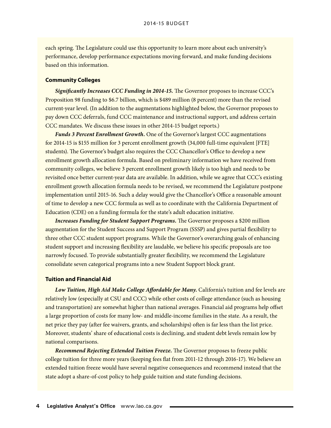each spring. The Legislature could use this opportunity to learn more about each university's performance, develop performance expectations moving forward, and make funding decisions based on this information.

### **Community Colleges**

*Significantly Increases CCC Funding in 2014-15.* The Governor proposes to increase CCC's Proposition 98 funding to \$6.7 billion, which is \$489 million (8 percent) more than the revised current-year level. (In addition to the augmentations highlighted below, the Governor proposes to pay down CCC deferrals, fund CCC maintenance and instructional support, and address certain CCC mandates. We discuss these issues in other 2014-15 budget reports.)

*Funds 3 Percent Enrollment Growth.* One of the Governor's largest CCC augmentations for 2014-15 is \$155 million for 3 percent enrollment growth (34,000 full-time equivalent [FTE] students). The Governor's budget also requires the CCC Chancellor's Office to develop a new enrollment growth allocation formula. Based on preliminary information we have received from community colleges, we believe 3 percent enrollment growth likely is too high and needs to be revisited once better current-year data are available. In addition, while we agree that CCC's existing enrollment growth allocation formula needs to be revised, we recommend the Legislature postpone implementation until 2015-16. Such a delay would give the Chancellor's Office a reasonable amount of time to develop a new CCC formula as well as to coordinate with the California Department of Education (CDE) on a funding formula for the state's adult education initiative.

*Increases Funding for Student Support Programs.* The Governor proposes a \$200 million augmentation for the Student Success and Support Program (SSSP) and gives partial flexibility to three other CCC student support programs. While the Governor's overarching goals of enhancing student support and increasing flexibility are laudable, we believe his specific proposals are too narrowly focused. To provide substantially greater flexibility, we recommend the Legislature consolidate seven categorical programs into a new Student Support block grant.

### **Tuition and Financial Aid**

*Low Tuition, High Aid Make College Affordable for Many.* California's tuition and fee levels are relatively low (especially at CSU and CCC) while other costs of college attendance (such as housing and transportation) are somewhat higher than national averages. Financial aid programs help offset a large proportion of costs for many low- and middle-income families in the state. As a result, the net price they pay (after fee waivers, grants, and scholarships) often is far less than the list price. Moreover, students' share of educational costs is declining, and student debt levels remain low by national comparisons.

*Recommend Rejecting Extended Tuition Freeze.* The Governor proposes to freeze public college tuition for three more years (keeping fees flat from 2011-12 through 2016-17). We believe an extended tuition freeze would have several negative consequences and recommend instead that the state adopt a share-of-cost policy to help guide tuition and state funding decisions.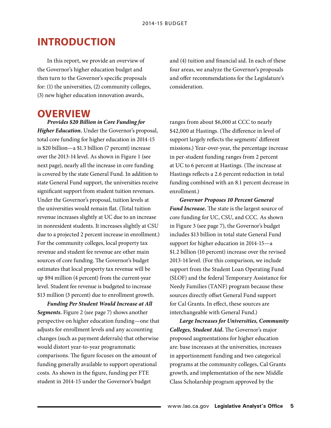# **INTRODUCTION**

In this report, we provide an overview of the Governor's higher education budget and then turn to the Governor's specific proposals for: (1) the universities, (2) community colleges, (3) new higher education innovation awards,

and (4) tuition and financial aid. In each of these four areas, we analyze the Governor's proposals and offer recommendations for the Legislature's consideration.

### **OVERVIEW**

*Provides \$20 Billion in Core Funding for Higher Education.* Under the Governor's proposal, total core funding for higher education in 2014-15 is \$20 billion—a \$1.3 billion (7 percent) increase over the 2013-14 level. As shown in Figure 1 (see next page), nearly all the increase in core funding is covered by the state General Fund. In addition to state General Fund support, the universities receive significant support from student tuition revenues. Under the Governor's proposal, tuition levels at the universities would remain flat. (Total tuition revenue increases slightly at UC due to an increase in nonresident students. It increases slightly at CSU due to a projected 2 percent increase in enrollment.) For the community colleges, local property tax revenue and student fee revenue are other main sources of core funding. The Governor's budget estimates that local property tax revenue will be up \$94 million (4 percent) from the current-year level. Student fee revenue is budgeted to increase \$13 million (3 percent) due to enrollment growth.

*Funding Per Student Would Increase at All Segments.* Figure 2 (see page 7) shows another perspective on higher education funding—one that adjusts for enrollment levels and any accounting changes (such as payment deferrals) that otherwise would distort year-to-year programmatic comparisons. The figure focuses on the amount of funding generally available to support operational costs. As shown in the figure, funding per FTE student in 2014-15 under the Governor's budget

ranges from about \$6,000 at CCC to nearly \$42,000 at Hastings. (The difference in level of support largely reflects the segments' different missions.) Year-over-year, the percentage increase in per-student funding ranges from 2 percent at UC to 6 percent at Hastings. (The increase at Hastings reflects a 2.6 percent reduction in total funding combined with an 8.1 percent decrease in enrollment.)

*Governor Proposes 10 Percent General Fund Increase.* The state is the largest source of core funding for UC, CSU, and CCC. As shown in Figure 3 (see page 7), the Governor's budget includes \$13 billion in total state General Fund support for higher education in 2014-15—a \$1.2 billion (10 percent) increase over the revised 2013-14 level. (For this comparison, we include support from the Student Loan Operating Fund (SLOF) and the federal Temporary Assistance for Needy Families (TANF) program because these sources directly offset General Fund support for Cal Grants. In effect, these sources are interchangeable with General Fund.)

*Large Increases for Universities, Community Colleges, Student Aid.* The Governor's major proposed augmentations for higher education are: base increases at the universities, increases in apportionment funding and two categorical programs at the community colleges, Cal Grants growth, and implementation of the new Middle Class Scholarship program approved by the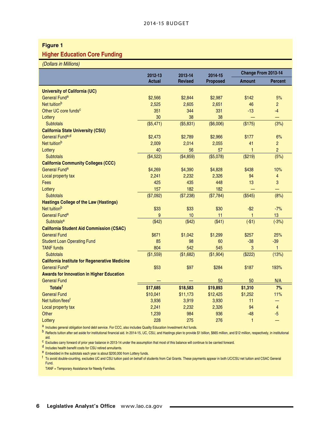### **Figure 1**

### **Higher Education Core Funding**

*(Dollars in Millions)*

|                                                       | 2012-13       | 2013-14        | 2014-15         | Change From 2013-14 |                          |
|-------------------------------------------------------|---------------|----------------|-----------------|---------------------|--------------------------|
|                                                       | <b>Actual</b> | <b>Revised</b> | <b>Proposed</b> | <b>Amount</b>       | <b>Percent</b>           |
| <b>University of California (UC)</b>                  |               |                |                 |                     |                          |
| General Fund <sup>a</sup>                             | \$2,566       | \$2,844        | \$2,987         | \$142               | 5%                       |
| Net tuition <sup>b</sup>                              | 2,525         | 2,605          | 2,651           | 46                  | $\overline{2}$           |
| Other UC core funds <sup>c</sup>                      | 351           | 344            | 331             | $-13$               | $-4$                     |
| Lottery                                               | 30            | 38             | 38              |                     | $\overline{\phantom{0}}$ |
| <b>Subtotals</b>                                      | (\$5,471)     | (\$5,831)      | (\$6,006)       | (\$175)             | (3%)                     |
| <b>California State University (CSU)</b>              |               |                |                 |                     |                          |
| General Funda,d                                       | \$2,473       | \$2,789        | \$2,966         | \$177               | 6%                       |
| Net tuition <sup>b</sup>                              | 2,009         | 2,014          | 2,055           | 41                  | $\overline{2}$           |
| Lottery                                               | 40            | 56             | 57              | 1                   | $\overline{2}$           |
| <b>Subtotals</b>                                      | (\$4,522)     | (\$4,859)      | (\$5,078)       | (\$219)             | (5%)                     |
| <b>California Community Colleges (CCC)</b>            |               |                |                 |                     |                          |
| General Fund <sup>a</sup>                             | \$4,269       | \$4,390        | \$4,828         | \$438               | 10%                      |
| Local property tax                                    | 2,241         | 2,232          | 2,326           | 94                  | $\overline{4}$           |
| Fees                                                  | 425           | 435            | 448             | 13                  | 3                        |
| Lottery                                               | 157           | 182            | 182             |                     |                          |
| <b>Subtotals</b>                                      | (\$7,092)     | (\$7,238)      | (\$7,784)       | (\$545)             | (8%)                     |
| <b>Hastings College of the Law (Hastings)</b>         |               |                |                 |                     |                          |
| Net tuition <sup>b</sup>                              | \$33          | \$33           | \$30            | $-$ \$2             | $-7%$                    |
| General Fund <sup>a</sup>                             | 9             | 10             | 11              | $\mathbf{1}$        | 13                       |
| Subtotals <sup>e</sup>                                | (\$42)        | (\$42)         | (\$41)          | $(-$1)$             | $(-3%)$                  |
| <b>California Student Aid Commission (CSAC)</b>       |               |                |                 |                     |                          |
| <b>General Fund</b>                                   | \$671         | \$1,042        | \$1,299         | \$257               | 25%                      |
| <b>Student Loan Operating Fund</b>                    | 85            | 98             | 60              | $-38$               | $-39$                    |
| <b>TANF funds</b>                                     | 804           | 542            | 545             | 3                   | $\mathbf{1}$             |
| <b>Subtotals</b>                                      | (\$1,559)     | (\$1,682)      | (\$1,904)       | (\$222)             | (13%)                    |
| <b>California Institute for Regenerative Medicine</b> |               |                |                 |                     |                          |
| <b>General Funda</b>                                  | \$53          | \$97           | \$284           | \$187               | 193%                     |
| <b>Awards for Innovation in Higher Education</b>      |               |                |                 |                     |                          |
| <b>General Fund</b>                                   |               |                | 50              | 50                  | N/A                      |
| <b>Totals</b> f                                       | \$17,685      | \$18,583       | \$19,893        | \$1,310             | 7%                       |
| <b>General Fund</b>                                   | \$10,041      | \$11,173       | \$12,425        | \$1,252             | 11%                      |
| Net tuition/fees <sup>f</sup>                         | 3,936         | 3,919          | 3,930           | 11                  |                          |
| Local property tax                                    | 2,241         | 2,232          | 2,326           | 94                  | 4                        |
| Other                                                 | 1,239         | 984            | 936             | $-48$               | $-5$                     |
| Lottery                                               | 228           | 275            | 276             | $\mathbf{1}$        |                          |

a Includes general obligation bond debt service. For CCC, also includes Quality Education Investment Act funds.

b Reflects tuition after set aside for institutional financial aid. In 2014-15, UC, CSU, and Hastings plan to provide \$1 billion, \$665 million, and \$12 million, respectively, in institutional<br> **Deflects** tuition after set aid.<br><sup>C</sup> Excludes carry forward of prior year balance in 2013-14 under the assumption that most of this balance will continue to be carried forward.

<sup>d</sup> Includes health benefit costs for CSU retired annuitants.

e Embedded in the subtotals each year is about \$200,000 from Lottery funds.

<sup>f</sup> To avoid double-counting, excludes UC and CSU tuition paid on behalf of students from Cal Grants. These payments appear in both UC/CSU net tuition and CSAC General Fund.

TANF = Temporary Assistance for Needy Families.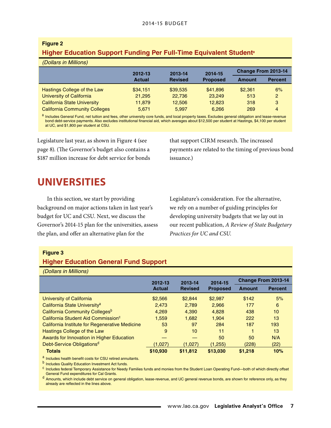#### **Figure 2**

### **Higher Education Support Funding Per Full-Time Equivalent Student<sup>a</sup>**

### *(Dollars in Millions)*

|                                      | 2012-13                         | 2013-14  | 2014-15         | Change From 2013-14 |                |  |
|--------------------------------------|---------------------------------|----------|-----------------|---------------------|----------------|--|
|                                      | <b>Revised</b><br><b>Actual</b> |          | <b>Proposed</b> | Amount              | <b>Percent</b> |  |
| Hastings College of the Law          | \$34,151                        | \$39,535 | \$41,896        | \$2,361             | 6%             |  |
| <b>University of California</b>      | 21,295                          | 22.736   | 23,249          | 513                 | $\overline{2}$ |  |
| <b>California State University</b>   | 11.879                          | 12,506   | 12.823          | 318                 | 3              |  |
| <b>California Community Colleges</b> | 5,671                           | 5,997    | 6.266           | 269                 | $\overline{4}$ |  |

a Includes General Fund, net tuition and fees, other university core funds, and local property taxes. Excludes general obligation and lease-revenue bond debt-service payments. Also excludes institutional financial aid, which averages about \$12,500 per student at Hastings, \$4,100 per student at UC, and \$1,800 per student at CSU.

Legislature last year, as shown in Figure 4 (see page 8). (The Governor's budget also contains a \$187 million increase for debt service for bonds that support CIRM research. The increased payments are related to the timing of previous bond issuance.)

# **UNIVERSITIES**

In this section, we start by providing background on major actions taken in last year's budget for UC and CSU. Next, we discuss the Governor's 2014-15 plan for the universities, assess the plan, and offer an alternative plan for the

Legislature's consideration. For the alternative, we rely on a number of guiding principles for developing university budgets that we lay out in our recent publication, *A Review of State Budgetary Practices for UC and CSU.*

### **Figure 3**

*(Dollars in Millions)*

### **Higher Education General Fund Support**

| (Dollars in Millions)                          |                                 |          |                 |         |                     |
|------------------------------------------------|---------------------------------|----------|-----------------|---------|---------------------|
|                                                | 2012-13                         | 2013-14  | 2014-15         |         | Change From 2013-14 |
|                                                | <b>Revised</b><br><b>Actual</b> |          | <b>Proposed</b> | Amount  | <b>Percent</b>      |
| University of California                       | \$2,566                         | \$2,844  | \$2,987         | \$142   | 5%                  |
| California State University <sup>a</sup>       | 2.473                           | 2.789    | 2.966           | 177     | 6                   |
| California Community Colleges <sup>b</sup>     | 4.269                           | 4.390    | 4.828           | 438     | 10                  |
| California Student Aid Commission <sup>c</sup> | 1,559                           | 1,682    | 1.904           | 222     | 13                  |
| California Institute for Regenerative Medicine | 53                              | 97       | 284             | 187     | 193                 |
| Hastings College of the Law                    | 9                               | 10       | 11              | 1       | 13                  |
| Awards for Innovation in Higher Education      |                                 |          | 50              | 50      | N/A                 |
| Debt-Service Obligations <sup>d</sup>          | (1,027)                         | (1,027)  | (1,255)         | (228)   | (22)                |
| <b>Totals</b>                                  | \$10,930                        | \$11,812 | \$13,030        | \$1,218 | 10%                 |

a Includes health benefit costs for CSU retired annuitants.

**b** Includes Quality Education Investment Act funds.

<sup>C</sup> Includes federal Temporary Assistance for Needy Families funds and monies from the Student Loan Operating Fund—both of which directly offset General Fund expenditures for Cal Grants.

d Amounts, which include debt service on general obligation, lease-revenue, and UC general revenue bonds, are shown for reference only, as they already are reflected in the lines above.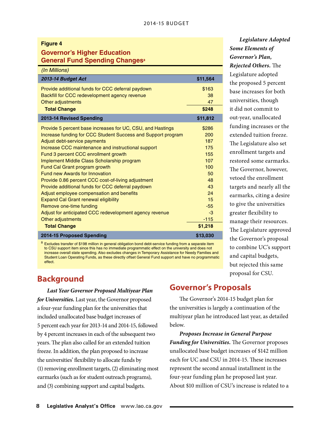### **Figure 4 Governor's Higher Education General Fund Spending Changes<sup>a</sup>**

| (In Millions)                                                                                                                                                                                                                                                                                                                                                                                                                                                                                                                                                                                                                                                                                                             |                                                                                                                     |
|---------------------------------------------------------------------------------------------------------------------------------------------------------------------------------------------------------------------------------------------------------------------------------------------------------------------------------------------------------------------------------------------------------------------------------------------------------------------------------------------------------------------------------------------------------------------------------------------------------------------------------------------------------------------------------------------------------------------------|---------------------------------------------------------------------------------------------------------------------|
| 2013-14 Budget Act                                                                                                                                                                                                                                                                                                                                                                                                                                                                                                                                                                                                                                                                                                        | \$11,564                                                                                                            |
| Provide additional funds for CCC deferral paydown<br>Backfill for CCC redevelopment agency revenue<br>Other adjustments<br><b>Total Change</b>                                                                                                                                                                                                                                                                                                                                                                                                                                                                                                                                                                            | \$163<br>38<br>47<br>\$248                                                                                          |
| 2013-14 Revised Spending                                                                                                                                                                                                                                                                                                                                                                                                                                                                                                                                                                                                                                                                                                  | \$11,812                                                                                                            |
| Provide 5 percent base increases for UC, CSU, and Hastings<br>Increase funding for CCC Student Success and Support program<br>Adjust debt-service payments<br>Increase CCC maintenance and instructional support<br>Fund 3 percent CCC enrollment growth<br>Implement Middle Class Scholarship program<br>Fund Cal Grant program growth<br><b>Fund new Awards for Innovation</b><br>Provide 0.86 percent CCC cost-of-living adjustment<br>Provide additional funds for CCC deferral paydown<br>Adjust employee compensation and benefits<br><b>Expand Cal Grant renewal eligibility</b><br>Remove one-time funding<br>Adjust for anticipated CCC redevelopment agency revenue<br>Other adjustments<br><b>Total Change</b> | \$286<br>200<br>187<br>175<br>155<br>107<br>100<br>50<br>48<br>43<br>24<br>15<br>$-55$<br>$-3$<br>$-115$<br>\$1,218 |
| 2014-15 Proposed Spending                                                                                                                                                                                                                                                                                                                                                                                                                                                                                                                                                                                                                                                                                                 | \$13,030                                                                                                            |

a Excludes transfer of \$198 million in general obligation bond debt-service funding from a separate item to CSU support item since this has no immediate programmatic effect on the university and does not increase overall state spending. Also excludes changes in Temporary Assistance for Needy Families and Student Loan Operating Funds, as these directly offset General Fund support and have no programmatic effect.

### Legislature adopted the proposed 5 percent base increases for both universities, though it did not commit to out-year, unallocated funding increases or the extended tuition freeze. The Legislature also set enrollment targets and restored some earmarks. The Governor, however, vetoed the enrollment targets and nearly all the earmarks, citing a desire to give the universities greater flexibility to manage their resources. The Legislature approved the Governor's proposal to combine UC's support and capital budgets, but rejected this same proposal for CSU.

*Legislature Adopted* 

*Some Elements of Governor's Plan, Rejected Others.* The

### **Background**

*Last Year Governor Proposed Multiyear Plan for Universities.* Last year, the Governor proposed a four-year funding plan for the universities that included unallocated base budget increases of 5 percent each year for 2013-14 and 2014-15, followed by 4 percent increases in each of the subsequent two years. The plan also called for an extended tuition freeze. In addition, the plan proposed to increase the universities' flexibility to allocate funds by (1) removing enrollment targets, (2) eliminating most earmarks (such as for student outreach programs), and (3) combining support and capital budgets.

### **Governor's Proposals**

The Governor's 2014-15 budget plan for the universities is largely a continuation of the multiyear plan he introduced last year, as detailed below.

*Proposes Increase in General Purpose Funding for Universities.* The Governor proposes unallocated base budget increases of \$142 million each for UC and CSU in 2014-15. These increases represent the second annual installment in the four-year funding plan he proposed last year. About \$10 million of CSU's increase is related to a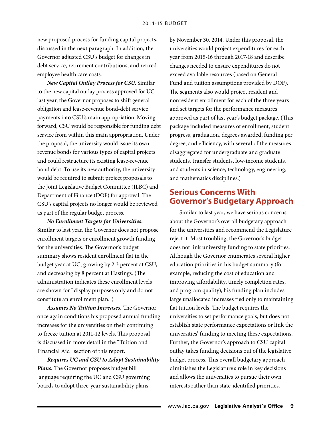new proposed process for funding capital projects, discussed in the next paragraph. In addition, the Governor adjusted CSU's budget for changes in debt service, retirement contributions, and retired employee health care costs.

*New Capital Outlay Process for CSU.* Similar to the new capital outlay process approved for UC last year, the Governor proposes to shift general obligation and lease-revenue bond-debt service payments into CSU's main appropriation. Moving forward, CSU would be responsible for funding debt service from within this main appropriation. Under the proposal, the university would issue its own revenue bonds for various types of capital projects and could restructure its existing lease-revenue bond debt. To use its new authority, the university would be required to submit project proposals to the Joint Legislative Budget Committee (JLBC) and Department of Finance (DOF) for approval. The CSU's capital projects no longer would be reviewed as part of the regular budget process.

*No Enrollment Targets for Universities.*  Similar to last year, the Governor does not propose enrollment targets or enrollment growth funding for the universities. The Governor's budget summary shows resident enrollment flat in the budget year at UC, growing by 2.3 percent at CSU, and decreasing by 8 percent at Hastings. (The administration indicates these enrollment levels are shown for "display purposes only and do not constitute an enrollment plan.")

*Assumes No Tuition Increases.* The Governor once again conditions his proposed annual funding increases for the universities on their continuing to freeze tuition at 2011-12 levels. This proposal is discussed in more detail in the "Tuition and Financial Aid" section of this report.

*Requires UC and CSU to Adopt Sustainability Plans.* The Governor proposes budget bill language requiring the UC and CSU governing boards to adopt three-year sustainability plans

by November 30, 2014. Under this proposal, the universities would project expenditures for each year from 2015-16 through 2017-18 and describe changes needed to ensure expenditures do not exceed available resources (based on General Fund and tuition assumptions provided by DOF). The segments also would project resident and nonresident enrollment for each of the three years and set targets for the performance measures approved as part of last year's budget package. (This package included measures of enrollment, student progress, graduation, degrees awarded, funding per degree, and efficiency, with several of the measures disaggregated for undergraduate and graduate students, transfer students, low-income students, and students in science, technology, engineering, and mathematics disciplines.)

### **Serious Concerns With Governor's Budgetary Approach**

Similar to last year, we have serious concerns about the Governor's overall budgetary approach for the universities and recommend the Legislature reject it. Most troubling, the Governor's budget does not link university funding to state priorities. Although the Governor enumerates several higher education priorities in his budget summary (for example, reducing the cost of education and improving affordability, timely completion rates, and program quality), his funding plan includes large unallocated increases tied only to maintaining flat tuition levels. The budget requires the universities to set performance goals, but does not establish state performance expectations or link the universities' funding to meeting these expectations. Further, the Governor's approach to CSU capital outlay takes funding decisions out of the legislative budget process. This overall budgetary approach diminishes the Legislature's role in key decisions and allows the universities to pursue their own interests rather than state-identified priorities.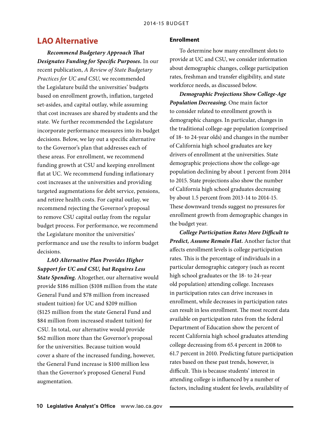### **LAO Alternative**

*Recommend Budgetary Approach That Designates Funding for Specific Purposes.* In our recent publication, *A Review of State Budgetary Practices for UC and CSU,* we recommended the Legislature build the universities' budgets based on enrollment growth, inflation, targeted set-asides, and capital outlay, while assuming that cost increases are shared by students and the state. We further recommended the Legislature incorporate performance measures into its budget decisions. Below, we lay out a specific alternative to the Governor's plan that addresses each of these areas. For enrollment, we recommend funding growth at CSU and keeping enrollment flat at UC. We recommend funding inflationary cost increases at the universities and providing targeted augmentations for debt service, pensions, and retiree health costs. For capital outlay, we recommend rejecting the Governor's proposal to remove CSU capital outlay from the regular budget process. For performance, we recommend the Legislature monitor the universities' performance and use the results to inform budget decisions.

*LAO Alternative Plan Provides Higher Support for UC and CSU, but Requires Less State Spending.* Altogether, our alternative would provide \$186 million (\$108 million from the state General Fund and \$78 million from increased student tuition) for UC and \$209 million (\$125 million from the state General Fund and \$84 million from increased student tuition) for CSU. In total, our alternative would provide \$62 million more than the Governor's proposal for the universities. Because tuition would cover a share of the increased funding, however, the General Fund increase is \$100 million less than the Governor's proposed General Fund augmentation.

### **Enrollment**

To determine how many enrollment slots to provide at UC and CSU, we consider information about demographic changes, college participation rates, freshman and transfer eligibility, and state workforce needs, as discussed below.

*Demographic Projections Show College-Age Population Decreasing.* One main factor to consider related to enrollment growth is demographic changes. In particular, changes in the traditional college-age population (comprised of 18- to 24-year olds) and changes in the number of California high school graduates are key drivers of enrollment at the universities. State demographic projections show the college-age population declining by about 1 percent from 2014 to 2015. State projections also show the number of California high school graduates decreasing by about 1.5 percent from 2013-14 to 2014-15. These downward trends suggest no pressures for enrollment growth from demographic changes in the budget year.

*College Participation Rates More Difficult to Predict, Assume Remain Flat.* Another factor that affects enrollment levels is college participation rates. This is the percentage of individuals in a particular demographic category (such as recent high school graduates or the 18- to 24-year old population) attending college. Increases in participation rates can drive increases in enrollment, while decreases in participation rates can result in less enrollment. The most recent data available on participation rates from the federal Department of Education show the percent of recent California high school graduates attending college decreasing from 65.4 percent in 2008 to 61.7 percent in 2010. Predicting future participation rates based on these past trends, however, is difficult. This is because students' interest in attending college is influenced by a number of factors, including student fee levels, availability of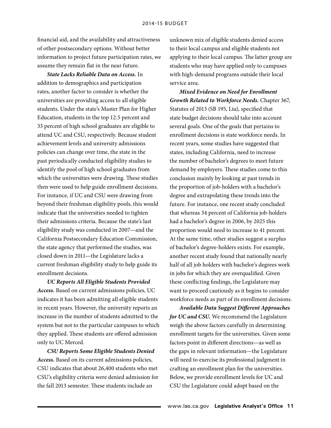financial aid, and the availability and attractiveness of other postsecondary options. Without better information to project future participation rates, we assume they remain flat in the near future.

*State Lacks Reliable Data on Access.* In addition to demographics and participation rates, another factor to consider is whether the universities are providing access to all eligible students. Under the state's Master Plan for Higher Education, students in the top 12.5 percent and 33 percent of high school graduates are eligible to attend UC and CSU, respectively. Because student achievement levels and university admissions policies can change over time, the state in the past periodically conducted eligibility studies to identify the pool of high school graduates from which the universities were drawing. These studies then were used to help guide enrollment decisions. For instance, if UC and CSU were drawing from beyond their freshman eligibility pools, this would indicate that the universities needed to tighten their admissions criteria. Because the state's last eligibility study was conducted in 2007—and the California Postsecondary Education Commission, the state agency that performed the studies, was closed down in 2011—the Legislature lacks a current freshman eligibility study to help guide its enrollment decisions.

*UC Reports All Eligible Students Provided Access.* Based on current admissions policies, UC indicates it has been admitting all eligible students in recent years. However, the university reports an increase in the number of students admitted to the system but not to the particular campuses to which they applied. These students are offered admission only to UC Merced.

*CSU Reports Some Eligible Students Denied Access.* Based on its current admissions policies, CSU indicates that about 26,400 students who met CSU's eligibility criteria were denied admission for the fall 2013 semester. These students include an

unknown mix of eligible students denied access to their local campus and eligible students not applying to their local campus. The latter group are students who may have applied only to campuses with high-demand programs outside their local service area.

*Mixed Evidence on Need for Enrollment Growth Related to Workforce Needs.* Chapter 367, Statutes of 2013 (SB 195, Liu), specified that state budget decisions should take into account several goals. One of the goals that pertains to enrollment decisions is state workforce needs. In recent years, some studies have suggested that states, including California, need to increase the number of bachelor's degrees to meet future demand by employers. These studies come to this conclusion mainly by looking at past trends in the proportion of job-holders with a bachelor's degree and extrapolating these trends into the future. For instance, one recent study concluded that whereas 34 percent of California job-holders had a bachelor's degree in 2006, by 2025 this proportion would need to increase to 41 percent. At the same time, other studies suggest a surplus of bachelor's degree-holders exists. For example, another recent study found that nationally nearly half of all job holders with bachelor's degrees work in jobs for which they are overqualified. Given these conflicting findings, the Legislature may want to proceed cautiously as it begins to consider workforce needs as part of its enrollment decisions.

*Available Data Suggest Different Approaches for UC and CSU.* We recommend the Legislature weigh the above factors carefully in determining enrollment targets for the universities. Given some factors point in different directions—as well as the gaps in relevant information—the Legislature will need to exercise its professional judgment in crafting an enrollment plan for the universities. Below, we provide enrollment levels for UC and CSU the Legislature could adopt based on the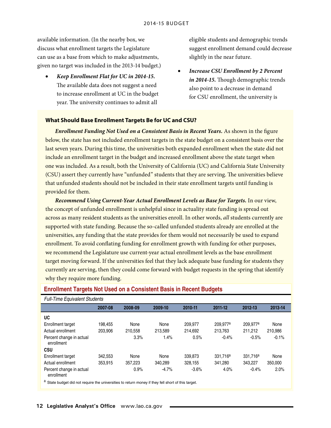available information. (In the nearby box, we discuss what enrollment targets the Legislature can use as a base from which to make adjustments, given no target was included in the 2013-14 budget.)

• *Keep Enrollment Flat for UC in 2014-15.*  The available data does not suggest a need to increase enrollment at UC in the budget year. The university continues to admit all

eligible students and demographic trends suggest enrollment demand could decrease slightly in the near future.

**Increase CSU Enrollment by 2 Percent** *in 2014-15.* Though demographic trends also point to a decrease in demand for CSU enrollment, the university is

### **What Should Base Enrollment Targets Be for UC and CSU?**

*Enrollment Funding Not Used on a Consistent Basis in Recent Years. As shown in the figure* below, the state has not included enrollment targets in the state budget on a consistent basis over the last seven years. During this time, the universities both expanded enrollment when the state did not include an enrollment target in the budget and increased enrollment above the state target when one was included. As a result, both the University of California (UC) and California State University (CSU) assert they currently have "unfunded" students that they are serving. The universities believe that unfunded students should not be included in their state enrollment targets until funding is provided for them.

*Recommend Using Current-Year Actual Enrollment Levels as Base for Targets.* In our view, the concept of unfunded enrollment is unhelpful since in actuality state funding is spread out across as many resident students as the universities enroll. In other words, *all* students currently are supported with state funding. Because the so-called unfunded students already are enrolled at the universities, any funding that the state provides for them would not necessarily be used to expand enrollment. To avoid conflating funding for enrollment growth with funding for other purposes, we recommend the Legislature use current-year actual enrollment levels as the base enrollment target moving forward. If the universities feel that they lack adequate base funding for students they currently are serving, then they could come forward with budget requests in the spring that identify why they require more funding.

| <b>Full-Time Equivalent Students</b>   |         |         |         |         |                      |                      |         |
|----------------------------------------|---------|---------|---------|---------|----------------------|----------------------|---------|
|                                        | 2007-08 | 2008-09 | 2009-10 | 2010-11 | 2011-12              | 2012-13              | 2013-14 |
| UC                                     |         |         |         |         |                      |                      |         |
| Enrollment target                      | 198.455 | None    | None    | 209.977 | 209.977 <sup>a</sup> | 209.977 <sup>a</sup> | None    |
| Actual enrollment                      | 203.906 | 210.558 | 213.589 | 214.692 | 213.763              | 211.212              | 210.986 |
| Percent change in actual<br>enrollment |         | 3.3%    | 1.4%    | 0.5%    | $-0.4%$              | $-0.5%$              | $-0.1%$ |
| <b>CSU</b>                             |         |         |         |         |                      |                      |         |
| Enrollment target                      | 342.553 | None    | None    | 339,873 | 331.716 <sup>a</sup> | 331.716 <sup>a</sup> | None    |
| Actual enrollment                      | 353.915 | 357.223 | 340.289 | 328.155 | 341.280              | 343.227              | 350,000 |
| Percent change in actual<br>enrollment |         | 0.9%    | $-4.7%$ | $-3.6%$ | 4.0%                 | $-0.4%$              | 2.0%    |

### **Enrollment Targets Not Used on a Consistent Basis in Recent Budgets**

<sup>a</sup> State budget did not require the universities to return money if they fell short of this target.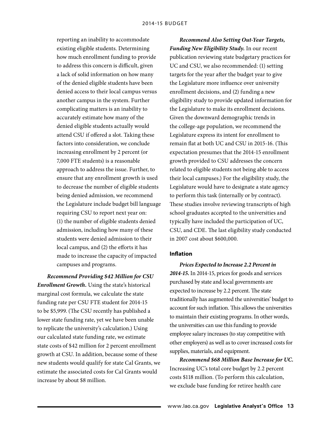reporting an inability to accommodate existing eligible students. Determining how much enrollment funding to provide to address this concern is difficult, given a lack of solid information on how many of the denied eligible students have been denied access to their local campus versus another campus in the system. Further complicating matters is an inability to accurately estimate how many of the denied eligible students actually would attend CSU if offered a slot. Taking these factors into consideration, we conclude increasing enrollment by 2 percent (or 7,000 FTE students) is a reasonable approach to address the issue. Further, to ensure that any enrollment growth is used to decrease the number of eligible students being denied admission, we recommend the Legislature include budget bill language requiring CSU to report next year on: (1) the number of eligible students denied admission, including how many of these students were denied admission to their local campus, and (2) the efforts it has made to increase the capacity of impacted campuses and programs.

*Recommend Providing \$42 Million for CSU Enrollment Growth.* Using the state's historical marginal cost formula, we calculate the state funding rate per CSU FTE student for 2014-15 to be \$5,999. (The CSU recently has published a lower state funding rate, yet we have been unable to replicate the university's calculation.) Using our calculated state funding rate, we estimate state costs of \$42 million for 2 percent enrollment growth at CSU. In addition, because some of these new students would qualify for state Cal Grants, we estimate the associated costs for Cal Grants would increase by about \$8 million.

*Recommend Also Setting Out-Year Targets, Funding New Eligibility Study.* In our recent publication reviewing state budgetary practices for UC and CSU, we also recommended: (1) setting targets for the year after the budget year to give the Legislature more influence over university enrollment decisions, and (2) funding a new eligibility study to provide updated information for the Legislature to make its enrollment decisions. Given the downward demographic trends in the college-age population, we recommend the Legislature express its intent for enrollment to remain flat at both UC and CSU in 2015-16. (This expectation presumes that the 2014-15 enrollment growth provided to CSU addresses the concern related to eligible students not being able to access their local campuses.) For the eligibility study, the Legislature would have to designate a state agency to perform this task (internally or by contract). These studies involve reviewing transcripts of high school graduates accepted to the universities and typically have included the participation of UC, CSU, and CDE. The last eligibility study conducted in 2007 cost about \$600,000.

### **Inflation**

*Prices Expected to Increase 2.2 Percent in 2014-15.* In 2014-15, prices for goods and services purchased by state and local governments are expected to increase by 2.2 percent. The state traditionally has augmented the universities' budget to account for such inflation. This allows the universities to maintain their existing programs. In other words, the universities can use this funding to provide employee salary increases (to stay competitive with other employers) as well as to cover increased costs for supplies, materials, and equipment.

*Recommend \$68 Million Base Increase for UC.*  Increasing UC's total core budget by 2.2 percent costs \$118 million. (To perform this calculation, we exclude base funding for retiree health care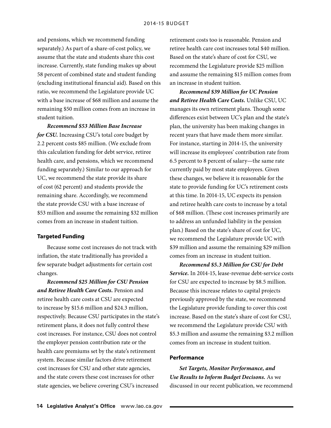and pensions, which we recommend funding separately.) As part of a share-of-cost policy, we assume that the state and students share this cost increase. Currently, state funding makes up about 58 percent of combined state and student funding (excluding institutional financial aid). Based on this ratio, we recommend the Legislature provide UC with a base increase of \$68 million and assume the remaining \$50 million comes from an increase in student tuition.

*Recommend \$53 Million Base Increase for CSU.* Increasing CSU's total core budget by 2.2 percent costs \$85 million. (We exclude from this calculation funding for debt service, retiree health care, and pensions, which we recommend funding separately.) Similar to our approach for UC, we recommend the state provide its share of cost (62 percent) and students provide the remaining share. Accordingly, we recommend the state provide CSU with a base increase of \$53 million and assume the remaining \$32 million comes from an increase in student tuition.

#### **Targeted Funding**

Because some cost increases do not track with inflation, the state traditionally has provided a few separate budget adjustments for certain cost changes.

*Recommend \$25 Million for CSU Pension and Retiree Health Care Costs.* Pension and retiree health care costs at CSU are expected to increase by \$15.6 million and \$24.3 million, respectively. Because CSU participates in the state's retirement plans, it does not fully control these cost increases. For instance, CSU does not control the employer pension contribution rate or the health care premiums set by the state's retirement system. Because similar factors drive retirement cost increases for CSU and other state agencies, and the state covers these cost increases for other state agencies, we believe covering CSU's increased

retirement costs too is reasonable. Pension and retiree health care cost increases total \$40 million. Based on the state's share of cost for CSU, we recommend the Legislature provide \$25 million and assume the remaining \$15 million comes from an increase in student tuition.

*Recommend \$39 Million for UC Pension and Retiree Health Care Costs.* Unlike CSU, UC manages its own retirement plans. Though some differences exist between UC's plan and the state's plan, the university has been making changes in recent years that have made them more similar. For instance, starting in 2014-15, the university will increase its employees' contribution rate from 6.5 percent to 8 percent of salary—the same rate currently paid by most state employees. Given these changes, we believe it is reasonable for the state to provide funding for UC's retirement costs at this time. In 2014-15, UC expects its pension and retiree health care costs to increase by a total of \$68 million. (These cost increases primarily are to address an unfunded liability in the pension plan.) Based on the state's share of cost for UC, we recommend the Legislature provide UC with \$39 million and assume the remaining \$29 million comes from an increase in student tuition.

*Recommend \$5.3 Million for CSU for Debt Service.* In 2014-15, lease-revenue debt-service costs for CSU are expected to increase by \$8.5 million. Because this increase relates to capital projects previously approved by the state, we recommend the Legislature provide funding to cover this cost increase. Based on the state's share of cost for CSU, we recommend the Legislature provide CSU with \$5.3 million and assume the remaining \$3.2 million comes from an increase in student tuition.

#### **Performance**

*Set Targets, Monitor Performance, and Use Results to Inform Budget Decisons.* As we discussed in our recent publication, we recommend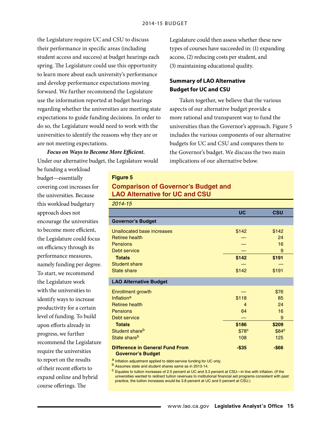the Legislature require UC and CSU to discuss their performance in specific areas (including student access and success) at budget hearings each spring. The Legislature could use this opportunity to learn more about each university's performance and develop performance expectations moving forward. We further recommend the Legislature use the information reported at budget hearings regarding whether the universities are meeting state expectations to guide funding decisions. In order to do so, the Legislature would need to work with the universities to identify the reasons why they are or are not meeting expectations.

*Focus on Ways to Become More Efficient.*  Under our alternative budget, the Legislature would Legislature could then assess whether these new types of courses have succeeded in: (1) expanding access, (2) reducing costs per student, and (3) maintaining educational quality.

### **Summary of LAO Alternative Budget for UC and CSU**

Taken together, we believe that the various aspects of our alternative budget provide a more rational and transparent way to fund the universities than the Governor's approach. Figure 5 includes the various components of our alternative budgets for UC and CSU and compares them to the Governor's budget. We discuss the two main implications of our alternative below.

be funding a workload budget—essentially covering cost increases for the universities. Because this workload budgetary approach does not encourage the universities to become more efficient, the Legislature could focus on efficiency through its performance measures, namely funding per degree. To start, we recommend the Legislature work with the universities to identify ways to increase productivity for a certain level of funding. To build upon efforts already in progress, we further recommend the Legislature require the universities to report on the results of their recent efforts to expand online and hybrid course offerings. The

### **Figure 5 Comparison of Governor's Budget and LAO Alternative for UC and CSU**

| 2014-15                                                                                                                                                                                                                              |                   |                   |
|--------------------------------------------------------------------------------------------------------------------------------------------------------------------------------------------------------------------------------------|-------------------|-------------------|
|                                                                                                                                                                                                                                      | <b>UC</b>         | <b>CSU</b>        |
| <b>Governor's Budget</b>                                                                                                                                                                                                             |                   |                   |
| Unallocated base increases                                                                                                                                                                                                           | \$142             | \$142             |
| <b>Retiree health</b>                                                                                                                                                                                                                |                   | 24                |
| <b>Pensions</b>                                                                                                                                                                                                                      |                   | 16                |
| Debt service                                                                                                                                                                                                                         |                   | 9                 |
| <b>Totals</b>                                                                                                                                                                                                                        | \$142             | \$191             |
| <b>Student share</b>                                                                                                                                                                                                                 |                   |                   |
| <b>State share</b>                                                                                                                                                                                                                   | \$142             | \$191             |
| <b>LAO Alternative Budget</b>                                                                                                                                                                                                        |                   |                   |
| <b>Enrollment growth</b>                                                                                                                                                                                                             |                   | \$76              |
| Inflation <sup>a</sup>                                                                                                                                                                                                               | \$118             | 85                |
| <b>Retiree health</b>                                                                                                                                                                                                                | 4                 | 24                |
| Pensions                                                                                                                                                                                                                             | 64                | 16                |
| Debt service                                                                                                                                                                                                                         |                   | 9                 |
| <b>Totals</b>                                                                                                                                                                                                                        | \$186             | \$209             |
| Student shareb                                                                                                                                                                                                                       | \$78 <sup>c</sup> | \$84 <sup>c</sup> |
| State share <sup>b</sup>                                                                                                                                                                                                             | 108               | 125               |
| <b>Difference in General Fund From</b><br><b>Governor's Budget</b>                                                                                                                                                                   | $-$35$            | $-$ \$66          |
| a Inflation adjustment applied to debt-service funding for UC only.                                                                                                                                                                  |                   |                   |
| $\mathbf{D}$ and $\mathbf{A}$ are the state of the state of the state of the state of the state of the state of the state of the state of the state of the state of the state of the state of the state of the state of the state of |                   |                   |

 $\frac{b}{c}$  Assumes state and student shares same as in 2013-14.<br> $\frac{c}{c}$  Equates to tuition increases of 2.5 percent at UC and 3.3 percent at CSU—in line with inflation. (If the universities wanted to redirect tuition revenues to institutional financial aid programs consistent with past practice, the tuition increases would be 3.8 percent at UC and 5 percent at CSU.)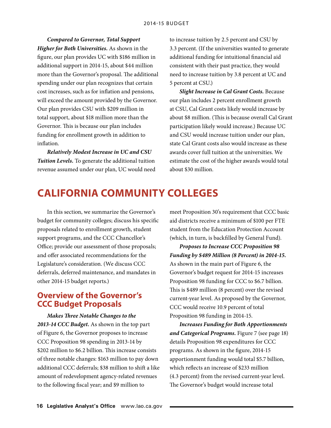*Compared to Governor, Total Support Higher for Both Universities.* As shown in the figure, our plan provides UC with \$186 million in additional support in 2014-15, about \$44 million more than the Governor's proposal. The additional spending under our plan recognizes that certain cost increases, such as for inflation and pensions, will exceed the amount provided by the Governor. Our plan provides CSU with \$209 million in total support, about \$18 million more than the Governor. This is because our plan includes funding for enrollment growth in addition to inflation.

*Relatively Modest Increase in UC and CSU Tuition Levels.* To generate the additional tuition revenue assumed under our plan, UC would need to increase tuition by 2.5 percent and CSU by 3.3 percent. (If the universities wanted to generate additional funding for intuitional financial aid consistent with their past practice, they would need to increase tuition by 3.8 percent at UC and 5 percent at CSU.)

*Slight Increase in Cal Grant Costs.* Because our plan includes 2 percent enrollment growth at CSU, Cal Grant costs likely would increase by about \$8 million. (This is because overall Cal Grant participation likely would increase.) Because UC and CSU would increase tuition under our plan, state Cal Grant costs also would increase as these awards cover full tuition at the universities. We estimate the cost of the higher awards would total about \$30 million.

# **CALIFORNIA COMMUNITY COLLEGES**

In this section, we summarize the Governor's budget for community colleges; discuss his specific proposals related to enrollment growth, student support programs, and the CCC Chancellor's Office; provide our assessment of those proposals; and offer associated recommendations for the Legislature's consideration. (We discuss CCC deferrals, deferred maintenance, and mandates in other 2014-15 budget reports.)

### **Overview of the Governor's CCC Budget Proposals**

*Makes Three Notable Changes to the 2013-14 CCC Budget.* As shown in the top part of Figure 6, the Governor proposes to increase CCC Proposition 98 spending in 2013-14 by \$202 million to \$6.2 billion. This increase consists of three notable changes: \$163 million to pay down additional CCC deferrals; \$38 million to shift a like amount of redevelopment agency-related revenues to the following fiscal year; and \$9 million to

meet Proposition 30's requirement that CCC basic aid districts receive a minimum of \$100 per FTE student from the Education Protection Account (which, in turn, is backfilled by General Fund).

*Proposes to Increase CCC Proposition 98 Funding by \$489 Million (8 Percent) in 2014-15.* As shown in the main part of Figure 6, the Governor's budget request for 2014-15 increases Proposition 98 funding for CCC to \$6.7 billion. This is \$489 million (8 percent) over the revised current-year level. As proposed by the Governor, CCC would receive 10.9 percent of total Proposition 98 funding in 2014-15.

*Increases Funding for Both Apportionments and Categorical Programs.* Figure 7 (see page 18) details Proposition 98 expenditures for CCC programs. As shown in the figure, 2014-15 apportionment funding would total \$5.7 billion, which reflects an increase of \$233 million (4.3 percent) from the revised current-year level. The Governor's budget would increase total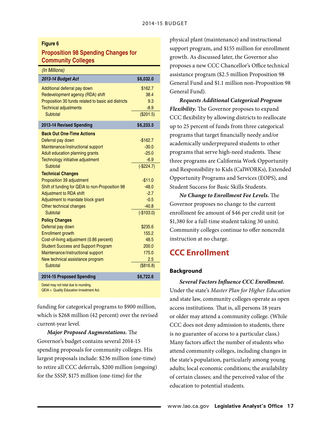#### **Figure 6**

### **Proposition 98 Spending Changes for Community Colleges**

| (In Millions)                                                                     |                   |
|-----------------------------------------------------------------------------------|-------------------|
| 2013-14 Budget Act                                                                | \$6,032.0         |
| Additional deferral pay down                                                      | \$162.7           |
| Redevelopment agency (RDA) shift                                                  | 38.4              |
| Proposition 30 funds related to basic aid districts                               | 9.3               |
| <b>Technical adjustments</b>                                                      | $-8.9$            |
| Subtotal                                                                          | (\$201.5)         |
| 2013-14 Revised Spending                                                          | \$6,233.5         |
| <b>Back Out One-Time Actions</b>                                                  |                   |
| Deferral pay down                                                                 | $-$162.7$         |
| Maintenance/instructional support                                                 | $-30.0$           |
| Adult education planning grants                                                   | $-25.0$           |
| Technology initiative adjustment                                                  | $-6.9$            |
| Subtotal                                                                          | $(-$224.7)$       |
| <b>Technical Changes</b>                                                          |                   |
| Proposition 39 adjustment                                                         | $-$11.0$          |
| Shift of funding for QEIA to non-Proposition 98                                   | $-48.0$           |
| Adjustment to RDA shift                                                           | $-2.7$            |
| Adjustment to mandate block grant                                                 | $-0.5$<br>$-40.8$ |
| Other technical changes<br>Subtotal                                               | $(-$103.0)$       |
| <b>Policy Changes</b>                                                             |                   |
| Deferral pay down                                                                 | \$235.6           |
| <b>Enrollment growth</b>                                                          | 155.2             |
| Cost-of-living adjustment (0.86 percent)                                          | 48.5              |
| <b>Student Success and Support Program</b>                                        | 200.0             |
| Maintenance/instructional support                                                 | 175.0             |
| New technical assistance program                                                  | 2.5               |
| Subtotal                                                                          | (\$816.8)         |
| 2014-15 Proposed Spending                                                         | \$6,722.6         |
| Detail may not total due to rounding.<br>QEIA = Quality Education Investment Act. |                   |

funding for categorical programs to \$900 million, which is \$268 million (42 percent) over the revised current-year level.

*Major Proposed Augmentations.* The Governor's budget contains several 2014-15 spending proposals for community colleges. His largest proposals include: \$236 million (one-time) to retire all CCC deferrals, \$200 million (ongoing) for the SSSP, \$175 million (one-time) for the

physical plant (maintenance) and instructional support program, and \$155 million for enrollment growth. As discussed later, the Governor also proposes a new CCC Chancellor's Office technical assistance program (\$2.5 million Proposition 98 General Fund and \$1.1 million non-Proposition 98 General Fund).

*Requests Additional Categorical Program Flexibility.* The Governor proposes to expand CCC flexibility by allowing districts to reallocate up to 25 percent of funds from three categorical programs that target financially needy and/or academically underprepared students to other programs that serve high-need students. These three programs are California Work Opportunity and Responsibility to Kids (CalWORKs), Extended Opportunity Programs and Services (EOPS), and Student Success for Basic Skills Students.

*No Change to Enrollment Fee Levels.* The Governor proposes no change to the current enrollment fee amount of \$46 per credit unit (or \$1,380 for a full-time student taking 30 units). Community colleges continue to offer noncredit instruction at no charge.

### **CCC Enrollment**

#### **Background**

*Several Factors Influence CCC Enrollment.*  Under the state's *Master Plan for Higher Education* and state law, community colleges operate as open access institutions. That is, all persons 18 years or older may attend a community college. (While CCC does not deny admission to students, there is no guarantee of access to a particular class.) Many factors affect the number of students who attend community colleges, including changes in the state's population, particularly among young adults; local economic conditions; the availability of certain classes; and the perceived value of the education to potential students.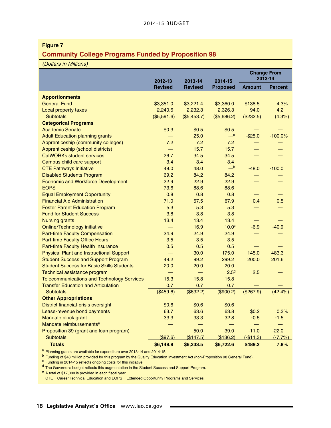### **Figure 7**

### **Community College Programs Funded by Proposition 98**

*(Dollars in Millions)*

|                                                   | 2012-13<br>2013-14 |                          | 2014-15                                 |               | <b>Change From</b><br>2013-14 |  |
|---------------------------------------------------|--------------------|--------------------------|-----------------------------------------|---------------|-------------------------------|--|
|                                                   | <b>Revised</b>     | <b>Revised</b>           | <b>Proposed</b>                         | <b>Amount</b> | <b>Percent</b>                |  |
| <b>Apportionments</b>                             |                    |                          |                                         |               |                               |  |
| <b>General Fund</b>                               | \$3,351.0          | \$3,221.4                | \$3,360.0                               | \$138.5       | 4.3%                          |  |
| <b>Local property taxes</b>                       | 2,240.6            | 2,232.3                  | 2,326.3                                 | 94.0          | 4.2                           |  |
| <b>Subtotals</b>                                  | (\$5,591.6)        | (\$5,453.7)              | (\$5,686.2)                             | (\$232.5)     | (4.3%)                        |  |
| <b>Categorical Programs</b>                       |                    |                          |                                         |               |                               |  |
| <b>Academic Senate</b>                            | \$0.3              | \$0.5                    | \$0.5                                   |               |                               |  |
| <b>Adult Education planning grants</b>            |                    | 25.0                     | $\equiv$ a                              | $-$25.0$      | $-100.0%$                     |  |
| Apprenticeship (community colleges)               | 7.2                | 7.2                      | 7.2                                     |               |                               |  |
| Apprenticeship (school districts)                 |                    | 15.7                     | 15.7                                    |               |                               |  |
| <b>CalWORKs student services</b>                  | 26.7               | 34.5                     | 34.5                                    |               |                               |  |
| Campus child care support                         | 3.4                | 3.4                      | 3.4                                     |               |                               |  |
| <b>CTE Pathways Initiative</b>                    | 48.0               | 48.0                     | $\overline{\phantom{0}}^{\,\mathsf{b}}$ | $-48.0$       | $-100.0$                      |  |
| <b>Disabled Students Program</b>                  | 69.2               | 84.2                     | 84.2                                    |               |                               |  |
| <b>Economic and Workforce Development</b>         | 22.9               | 22.9                     | 22.9                                    |               |                               |  |
| <b>EOPS</b>                                       | 73.6               | 88.6                     | 88.6                                    |               |                               |  |
| <b>Equal Employment Opportunity</b>               | 0.8                | 0.8                      | 0.8                                     |               |                               |  |
| <b>Financial Aid Administration</b>               | 71.0               | 67.5                     | 67.9                                    | 0.4           | 0.5                           |  |
| <b>Foster Parent Education Program</b>            | 5.3                | 5.3                      | 5.3                                     |               |                               |  |
| <b>Fund for Student Success</b>                   | 3.8                | 3.8                      | 3.8                                     |               |                               |  |
| <b>Nursing grants</b>                             | 13.4               | 13.4                     | 13.4                                    | ▃             |                               |  |
| Online/Technology initiative                      |                    | 16.9                     | 10.0 <sup>c</sup>                       | $-6.9$        | $-40.9$                       |  |
| <b>Part-time Faculty Compensation</b>             | 24.9               | 24.9                     | 24.9                                    |               |                               |  |
| <b>Part-time Faculty Office Hours</b>             | 3.5                | 3.5                      | 3.5                                     |               |                               |  |
| Part-time Faculty Health Insurance                | 0.5                | 0.5                      | 0.5                                     | $\equiv$      | $\equiv$                      |  |
| <b>Physical Plant and Instructional Support</b>   |                    | 30.0                     | 175.0                                   | 145.0         | 483.3                         |  |
| <b>Student Success and Support Program</b>        | 49.2               | 99.2                     | 299.2                                   | 200.0         | 201.6                         |  |
| <b>Student Success for Basic Skills Students</b>  | 20.0               | 20.0                     | 20.0                                    |               |                               |  |
| Technical assistance program                      |                    | $\overline{\phantom{0}}$ | 2.5 <sup>d</sup>                        | 2.5           |                               |  |
| <b>Telecommunications and Technology Services</b> | 15.3               | 15.8                     | 15.8                                    |               |                               |  |
| <b>Transfer Education and Articulation</b>        | 0.7                | 0.7                      | 0.7                                     |               |                               |  |
| <b>Subtotals</b>                                  | (\$459.6)          | (\$632.2)                | (\$900.2)                               | (\$267.9)     | (42.4% )                      |  |
| <b>Other Appropriations</b>                       |                    |                          |                                         |               |                               |  |
| District financial-crisis oversight               | \$0.6              | \$0.6                    | \$0.6                                   |               |                               |  |
| Lease-revenue bond payments                       | 63.7               | 63.6                     | 63.8                                    | \$0.2         | 0.3%                          |  |
| Mandate block grant                               | 33.3               | 33.3                     | 32.8                                    | $-0.5$        | $-1.5$                        |  |
| Mandate reimbursements <sup>e</sup>               |                    |                          |                                         |               |                               |  |
| Proposition 39 (grant and loan program)           |                    | 50.0                     | 39.0                                    | $-11.0$       | $-22.0$                       |  |
| <b>Subtotals</b>                                  | (\$97.6)           | (\$147.5)                | (\$136.2)                               | $(-$11.3)$    | $(-7.7%)$                     |  |
| <b>Totals</b>                                     | \$6,148.8          | \$6,233.5                | \$6,722.6                               | \$489.2       | 7.8%                          |  |

<sup>a</sup> Planning grants are available for expenditure over 2013-14 and 2014-15.

b Funding giams are available for exponsive out Estream and The Cuality Education Investment Act (non-Proposition 98 General Fund).

<sup>c</sup> Funding in 2014-15 reflects ongoing costs for this initiative.

d The Governor's budget reflects this augmentation in the Student Success and Support Program.

<sup>e</sup> A total of \$17,000 is provided in each fiscal year.

CTE = Career Technical Education and EOPS = Extended Opportunity Programs and Services.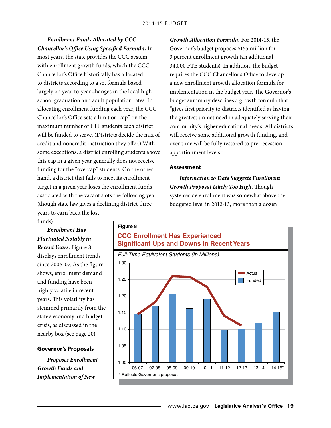*Enrollment Funds Allocated by CCC Chancellor's Office Using Specified Formula.* In most years, the state provides the CCC system with enrollment growth funds, which the CCC Chancellor's Office historically has allocated to districts according to a set formula based largely on year-to-year changes in the local high school graduation and adult population rates. In allocating enrollment funding each year, the CCC Chancellor's Office sets a limit or "cap" on the maximum number of FTE students each district will be funded to serve. (Districts decide the mix of credit and noncredit instruction they offer.) With some exceptions, a district enrolling students above this cap in a given year generally does not receive funding for the "overcap" students. On the other hand, a district that fails to meet its enrollment target in a given year loses the enrollment funds associated with the vacant slots the following year (though state law gives a declining district three years to earn back the lost

*Growth Allocation Formula.* For 2014-15, the Governor's budget proposes \$155 million for 3 percent enrollment growth (an additional 34,000 FTE students). In addition, the budget requires the CCC Chancellor's Office to develop a new enrollment growth allocation formula for implementation in the budget year. The Governor's budget summary describes a growth formula that "gives first priority to districts identified as having the greatest unmet need in adequately serving their community's higher educational needs. All districts will receive some additional growth funding, and over time will be fully restored to pre-recession apportionment levels."

#### **Assessment**

*Information to Date Suggests Enrollment Growth Proposal Likely Too High.* Though systemwide enrollment was somewhat above the budgeted level in 2012-13, more than a dozen

funds).

### *Enrollment Has Fluctuated Notably in*

*Recent Years.* Figure 8 displays enrollment trends since 2006-07. As the figure shows, enrollment demand and funding have been highly volatile in recent years. This volatility has stemmed primarily from the state's economy and budget crisis, as discussed in the nearby box (see page 20).

### **Governor's Proposals**

*Proposes Enrollment Growth Funds and Implementation of New* 

### **CCC Enrollment Has Experienced Significant Ups and Downs in Recent Years Figure 8**

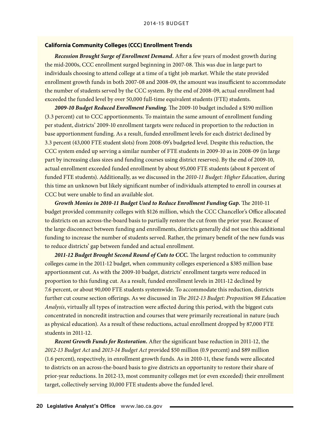#### **California Community Colleges (CCC) Enrollment Trends**

*Recession Brought Surge of Enrollment Demand.* After a few years of modest growth during the mid-2000s, CCC enrollment surged beginning in 2007-08. This was due in large part to individuals choosing to attend college at a time of a tight job market. While the state provided enrollment growth funds in both 2007-08 and 2008-09, the amount was insufficient to accommodate the number of students served by the CCC system. By the end of 2008-09, actual enrollment had exceeded the funded level by over 50,000 full-time equivalent students (FTE) students.

*2009-10 Budget Reduced Enrollment Funding.* The 2009-10 budget included a \$190 million (3.3 percent) cut to CCC apportionments. To maintain the same amount of enrollment funding per student, districts' 2009-10 enrollment targets were reduced in proportion to the reduction in base apportionment funding. As a result, funded enrollment levels for each district declined by 3.3 percent (43,000 FTE student slots) from 2008-09's budgeted level. Despite this reduction, the CCC system ended up serving a similar number of FTE students in 2009-10 as in 2008-09 (in large part by increasing class sizes and funding courses using district reserves). By the end of 2009-10, actual enrollment exceeded funded enrollment by about 95,000 FTE students (about 8 percent of funded FTE students). Additionally, as we discussed in the *2010-11 Budget: Higher Education*, during this time an unknown but likely significant number of individuals attempted to enroll in courses at CCC but were unable to find an available slot.

*Growth Monies in 2010-11 Budget Used to Reduce Enrollment Funding Gap.* The 2010-11 budget provided community colleges with \$126 million, which the CCC Chancellor's Office allocated to districts on an across-the-board basis to partially restore the cut from the prior year. Because of the large disconnect between funding and enrollments, districts generally did not use this additional funding to increase the number of students served. Rather, the primary benefit of the new funds was to reduce districts' gap between funded and actual enrollment.

2011-12 Budget Brought Second Round of Cuts to CCC. The largest reduction to community colleges came in the 2011-12 budget, when community colleges experienced a \$385 million base apportionment cut. As with the 2009-10 budget, districts' enrollment targets were reduced in proportion to this funding cut. As a result, funded enrollment levels in 2011-12 declined by 7.6 percent, or about 90,000 FTE students systemwide. To accommodate this reduction, districts further cut course section offerings. As we discussed in *The 2012-13 Budget: Proposition 98 Education Analysis*, virtually all types of instruction were affected during this period, with the biggest cuts concentrated in noncredit instruction and courses that were primarily recreational in nature (such as physical education). As a result of these reductions, actual enrollment dropped by 87,000 FTE students in 2011-12.

*Recent Growth Funds for Restoration.* After the significant base reduction in 2011-12, the *2012-13 Budget Act* and *2013-14 Budget Act* provided \$50 million (0.9 percent) and \$89 million (1.6 percent), respectively, in enrollment growth funds. As in 2010-11, these funds were allocated to districts on an across-the-board basis to give districts an opportunity to restore their share of prior-year reductions. In 2012-13, most community colleges met (or even exceeded) their enrollment target, collectively serving 10,000 FTE students above the funded level.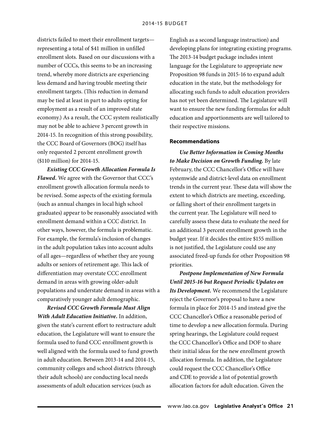districts failed to meet their enrollment targets representing a total of \$41 million in unfilled enrollment slots. Based on our discussions with a number of CCCs, this seems to be an increasing trend, whereby more districts are experiencing less demand and having trouble meeting their enrollment targets. (This reduction in demand may be tied at least in part to adults opting for employment as a result of an improved state economy.) As a result, the CCC system realistically may not be able to achieve 3 percent growth in 2014-15. In recognition of this strong possibility, the CCC Board of Governors (BOG) itself has only requested 2 percent enrollment growth (\$110 million) for 2014-15.

*Existing CCC Growth Allocation Formula Is Flawed.* We agree with the Governor that CCC's enrollment growth allocation formula needs to be revised. Some aspects of the existing formula (such as annual changes in local high school graduates) appear to be reasonably associated with enrollment demand within a CCC district. In other ways, however, the formula is problematic. For example, the formula's inclusion of changes in the adult population takes into account adults of all ages—regardless of whether they are young adults or seniors of retirement age. This lack of differentiation may overstate CCC enrollment demand in areas with growing older-adult populations and understate demand in areas with a comparatively younger adult demographic.

*Revised CCC Growth Formula Must Align With Adult Education Initiative.* In addition, given the state's current effort to restructure adult education, the Legislature will want to ensure the formula used to fund CCC enrollment growth is well aligned with the formula used to fund growth in adult education. Between 2013-14 and 2014-15, community colleges and school districts (through their adult schools) are conducting local needs assessments of adult education services (such as

English as a second language instruction) and developing plans for integrating existing programs. The 2013-14 budget package includes intent language for the Legislature to appropriate new Proposition 98 funds in 2015-16 to expand adult education in the state, but the methodology for allocating such funds to adult education providers has not yet been determined. The Legislature will want to ensure the new funding formulas for adult education and apportionments are well tailored to their respective missions.

#### **Recommendations**

*Use Better Information in Coming Months to Make Decision on Growth Funding.* By late February, the CCC Chancellor's Office will have systemwide and district-level data on enrollment trends in the current year. These data will show the extent to which districts are meeting, exceeding, or falling short of their enrollment targets in the current year. The Legislature will need to carefully assess these data to evaluate the need for an additional 3 percent enrollment growth in the budget year. If it decides the entire \$155 million is not justified, the Legislature could use any associated freed-up funds for other Proposition 98 priorities.

*Postpone Implementation of New Formula Until 2015-16 but Request Periodic Updates on Its Development.* We recommend the Legislature reject the Governor's proposal to have a new formula in place for 2014-15 and instead give the CCC Chancellor's Office a reasonable period of time to develop a new allocation formula. During spring hearings, the Legislature could request the CCC Chancellor's Office and DOF to share their initial ideas for the new enrollment growth allocation formula. In addition, the Legislature could request the CCC Chancellor's Office and CDE to provide a list of potential growth allocation factors for adult education. Given the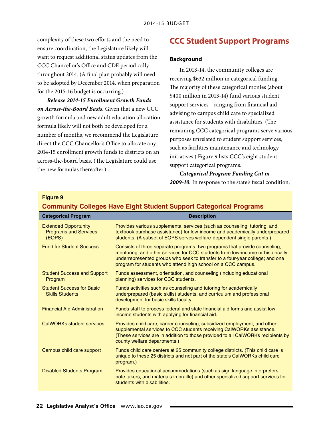complexity of these two efforts and the need to ensure coordination, the Legislature likely will want to request additional status updates from the CCC Chancellor's Office and CDE periodically throughout 2014. (A final plan probably will need to be adopted by December 2014, when preparation for the 2015-16 budget is occurring.)

*Release 2014-15 Enrollment Growth Funds on Across-the-Board Basis.* Given that a new CCC growth formula and new adult education allocation formula likely will not both be developed for a number of months, we recommend the Legislature direct the CCC Chancellor's Office to allocate any 2014-15 enrollment growth funds to districts on an across-the-board basis. (The Legislature could use the new formulas thereafter.)

### **CCC Student Support Programs**

### **Background**

In 2013-14, the community colleges are receiving \$632 million in categorical funding. The majority of these categorical monies (about \$400 million in 2013-14) fund various student support services—ranging from financial aid advising to campus child care to specialized assistance for students with disabilities. (The remaining CCC categorical programs serve various purposes unrelated to student support services, such as facilities maintenance and technology initiatives.) Figure 9 lists CCC's eight student support categorical programs.

*Categorical Program Funding Cut in 2009-10.* In response to the state's fiscal condition,

#### **Figure 9**

| <b>Community Colleges Have Eight Student Support Categorical Programs</b> |                                                                                                                                                                                                                                                                                                              |  |  |
|---------------------------------------------------------------------------|--------------------------------------------------------------------------------------------------------------------------------------------------------------------------------------------------------------------------------------------------------------------------------------------------------------|--|--|
| <b>Categorical Program</b>                                                | <b>Description</b>                                                                                                                                                                                                                                                                                           |  |  |
| <b>Extended Opportunity</b><br><b>Programs and Services</b><br>(EOPS)     | Provides various supplemental services (such as counseling, tutoring, and<br>textbook purchase assistance) for low-income and academically underprepared<br>students. (A subset of EOPS serves welfare-dependent single parents.)                                                                            |  |  |
| <b>Fund for Student Success</b>                                           | Consists of three separate programs: two programs that provide counseling,<br>mentoring, and other services for CCC students from low-income or historically<br>underrepresented groups who seek to transfer to a four-year college; and one<br>program for students who attend high school on a CCC campus. |  |  |
| <b>Student Success and Support</b><br>Program                             | Funds assessment, orientation, and counseling (including educational<br>planning) services for CCC students.                                                                                                                                                                                                 |  |  |
| <b>Student Success for Basic</b><br><b>Skills Students</b>                | Funds activities such as counseling and tutoring for academically<br>underprepared (basic skills) students, and curriculum and professional<br>development for basic skills faculty.                                                                                                                         |  |  |
| <b>Financial Aid Administration</b>                                       | Funds staff to process federal and state financial aid forms and assist low-<br>income students with applying for financial aid.                                                                                                                                                                             |  |  |
| <b>CalWORKs student services</b>                                          | Provides child care, career counseling, subsidized employment, and other<br>supplemental services to CCC students receiving CalWORKs assistance.<br>(These services are in addition to those provided to all CalWORKs recipients by<br>county welfare departments.)                                          |  |  |
| Campus child care support                                                 | Funds child care centers at 25 community college districts. (This child care is<br>unique to these 25 districts and not part of the state's CalWORKs child care<br>program.)                                                                                                                                 |  |  |
| <b>Disabled Students Program</b>                                          | Provides educational accommodations (such as sign language interpreters,<br>note takers, and materials in braille) and other specialized support services for<br>students with disabilities.                                                                                                                 |  |  |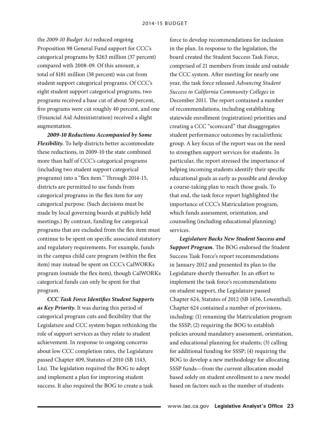the *2009-10 Budget Act* reduced ongoing Proposition 98 General Fund support for CCC's categorical programs by \$263 million (37 percent) compared with 2008-09. Of this amount, a total of \$181 million (38 percent) was cut from student support categorical programs. Of CCC's eight student support categorical programs, two programs received a base cut of about 50 percent, five programs were cut roughly 40 percent, and one (Financial Aid Administration) received a slight augmentation.

*2009-10 Reductions Accompanied by Some Flexibility.* To help districts better accommodate these reductions, in 2009-10 the state combined more than half of CCC's categorical programs (including two student support categorical programs) into a "flex item." Through 2014-15, districts are permitted to use funds from categorical programs in the flex item for any categorical purpose. (Such decisions must be made by local governing boards at publicly held meetings.) By contrast, funding for categorical programs that are excluded from the flex item must continue to be spent on specific associated statutory and regulatory requirements. For example, funds in the campus child care program (within the flex item) may instead be spent on CCC's CalWORKs program (outside the flex item), though CalWORKs categorical funds can only be spent for that program.

*CCC Task Force Identifies Student Supports as Key Priority.* It was during this period of categorical program cuts and flexibility that the Legislature and CCC system began rethinking the role of support services as they relate to student achievement. In response to ongoing concerns about low CCC completion rates, the Legislature passed Chapter 409, Statutes of 2010 (SB 1143, Liu). The legislation required the BOG to adopt and implement a plan for improving student success. It also required the BOG to create a task

force to develop recommendations for inclusion in the plan. In response to the legislation, the board created the Student Success Task Force, comprised of 21 members from inside and outside the CCC system. After meeting for nearly one year, the task force released *Advancing Student Success in California Community Colleges* in December 2011. The report contained a number of recommendations, including establishing statewide enrollment (registration) priorities and creating a CCC "scorecard" that disaggregates student performance outcomes by racial/ethnic group. A key focus of the report was on the need to strengthen support services for students. In particular, the report stressed the importance of helping incoming students identify their specific educational goals as early as possible and develop a course-taking plan to reach those goals. To that end, the task force report highlighted the importance of CCC's Matriculation program, which funds assessment, orientation, and counseling (including educational planning) services.

*Legislature Backs New Student Success and Support Program.* The BOG endorsed the Student Success Task Force's report recommendations in January 2012 and presented its plan to the Legislature shortly thereafter. In an effort to implement the task force's recommendations on student support, the Legislature passed Chapter 624, Statutes of 2012 (SB 1456, Lowenthal). Chapter 624 contained a number of provisions, including: (1) renaming the Matriculation program the SSSP; (2) requiring the BOG to establish policies around mandatory assessment, orientation, and educational planning for students; (3) calling for additional funding for SSSP; (4) requiring the BOG to develop a new methodology for allocating SSSP funds—from the current allocation model based solely on student enrollment to a new model based on factors such as the number of students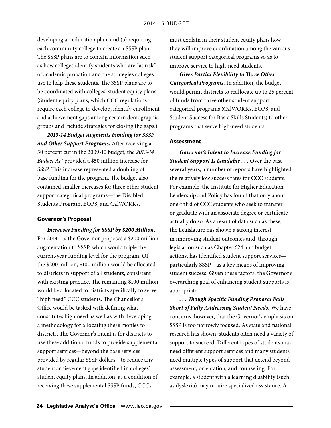developing an education plan; and (5) requiring each community college to create an SSSP plan. The SSSP plans are to contain information such as how colleges identify students who are "at risk" of academic probation and the strategies colleges use to help these students. The SSSP plans are to be coordinated with colleges' student equity plans. (Student equity plans, which CCC regulations require each college to develop, identify enrollment and achievement gaps among certain demographic groups and include strategies for closing the gaps.)

*2013-14 Budget Augments Funding for SSSP and Other Support Programs.* After receiving a 50 percent cut in the 2009-10 budget, the *2013-14 Budget Act* provided a \$50 million increase for SSSP. This increase represented a doubling of base funding for the program. The budget also contained smaller increases for three other student support categorical programs—the Disabled Students Program, EOPS, and CalWORKs.

#### **Governor's Proposal**

*Increases Funding for SSSP by \$200 Million.*  For 2014-15, the Governor proposes a \$200 million augmentation to SSSP, which would triple the current-year funding level for the program. Of the \$200 million, \$100 million would be allocated to districts in support of all students, consistent with existing practice. The remaining \$100 million would be allocated to districts specifically to serve "high need" CCC students. The Chancellor's Office would be tasked with defining what constitutes high need as well as with developing a methodology for allocating these monies to districts. The Governor's intent is for districts to use these additional funds to provide supplemental support services—beyond the base services provided by regular SSSP dollars—to reduce any student achievement gaps identified in colleges' student equity plans. In addition, as a condition of receiving these supplemental SSSP funds, CCCs

must explain in their student equity plans how they will improve coordination among the various student support categorical programs so as to improve service to high-need students.

*Gives Partial Flexibility to Three Other Categorical Programs.* In addition, the budget would permit districts to reallocate up to 25 percent of funds from three other student support categorical programs (CalWORKs, EOPS, and Student Success for Basic Skills Students) to other programs that serve high-need students.

### **Assessment**

*Governor's Intent to Increase Funding for Student Support Is Laudable . . .* Over the past several years, a number of reports have highlighted the relatively low success rates for CCC students. For example, the Institute for Higher Education Leadership and Policy has found that only about one-third of CCC students who seek to transfer or graduate with an associate degree or certificate actually do so. As a result of data such as these, the Legislature has shown a strong interest in improving student outcomes and, through legislation such as Chapter 624 and budget actions, has identified student support services particularly SSSP—as a key means of improving student success. Given these factors, the Governor's overarching goal of enhancing student supports is appropriate.

*. . . Though Specific Funding Proposal Falls Short of Fully Addressing Student Needs.* We have concerns, however, that the Governor's emphasis on SSSP is too narrowly focused. As state and national research has shown, students often need a variety of support to succeed. Different types of students may need different support services and many students need multiple types of support that extend beyond assessment, orientation, and counseling. For example, a student with a learning disability (such as dyslexia) may require specialized assistance. A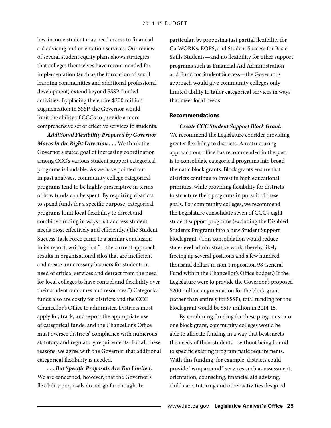low-income student may need access to financial aid advising and orientation services. Our review of several student equity plans shows strategies that colleges themselves have recommended for implementation (such as the formation of small learning communities and additional professional development) extend beyond SSSP-funded activities. By placing the entire \$200 million augmentation in SSSP, the Governor would limit the ability of CCCs to provide a more comprehensive set of effective services to students.

*Additional Flexibility Proposed by Governor Moves In the Right Direction . . .* We think the Governor's stated goal of increasing coordination among CCC's various student support categorical programs is laudable. As we have pointed out in past analyses, community college categorical programs tend to be highly prescriptive in terms of how funds can be spent. By requiring districts to spend funds for a specific purpose, categorical programs limit local flexibility to direct and combine funding in ways that address student needs most effectively and efficiently. (The Student Success Task Force came to a similar conclusion in its report, writing that "…the current approach results in organizational silos that are inefficient and create unnecessary barriers for students in need of critical services and detract from the need for local colleges to have control and flexibility over their student outcomes and resources.") Categorical funds also are costly for districts and the CCC Chancellor's Office to administer. Districts must apply for, track, and report the appropriate use of categorical funds, and the Chancellor's Office must oversee districts' compliance with numerous statutory and regulatory requirements. For all these reasons, we agree with the Governor that additional categorical flexibility is needed.

*. . . But Specific Proposals Are Too Limited.*  We are concerned, however, that the Governor's flexibility proposals do not go far enough. In

particular, by proposing just partial flexibility for CalWORKs, EOPS, and Student Success for Basic Skills Students—and no flexibility for other support programs such as Financial Aid Administration and Fund for Student Success—the Governor's approach would give community colleges only limited ability to tailor categorical services in ways that meet local needs.

### **Recommendations**

*Create CCC Student Support Block Grant.*  We recommend the Legislature consider providing greater flexibility to districts. A restructuring approach our office has recommended in the past is to consolidate categorical programs into broad thematic block grants. Block grants ensure that districts continue to invest in high educational priorities, while providing flexibility for districts to structure their programs in pursuit of these goals. For community colleges, we recommend the Legislature consolidate seven of CCC's eight student support programs (excluding the Disabled Students Program) into a new Student Support block grant. (This consolidation would reduce state-level administrative work, thereby likely freeing up several positions and a few hundred thousand dollars in non-Proposition 98 General Fund within the Chancellor's Office budget.) If the Legislature were to provide the Governor's proposed \$200 million augmentation for the block grant (rather than entirely for SSSP), total funding for the block grant would be \$517 million in 2014-15.

By combining funding for these programs into one block grant, community colleges would be able to allocate funding in a way that best meets the needs of their students—without being bound to specific existing programmatic requirements. With this funding, for example, districts could provide "wraparound" services such as assessment, orientation, counseling, financial aid advising, child care, tutoring and other activities designed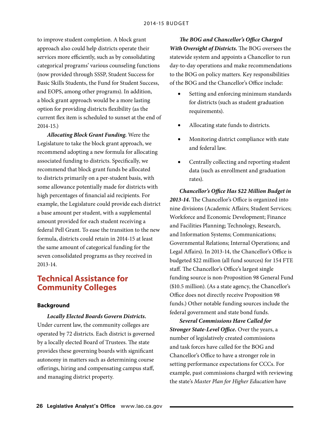to improve student completion. A block grant approach also could help districts operate their services more efficiently, such as by consolidating categorical programs' various counseling functions (now provided through SSSP, Student Success for Basic Skills Students, the Fund for Student Success, and EOPS, among other programs). In addition, a block grant approach would be a more lasting option for providing districts flexibility (as the current flex item is scheduled to sunset at the end of 2014-15.)

*Allocating Block Grant Funding.* Were the Legislature to take the block grant approach, we recommend adopting a new formula for allocating associated funding to districts. Specifically, we recommend that block grant funds be allocated to districts primarily on a per-student basis, with some allowance potentially made for districts with high percentages of financial aid recipients. For example, the Legislature could provide each district a base amount per student, with a supplemental amount provided for each student receiving a federal Pell Grant. To ease the transition to the new formula, districts could retain in 2014-15 at least the same amount of categorical funding for the seven consolidated programs as they received in 2013-14.

### **Technical Assistance for Community Colleges**

#### **Background**

*Locally Elected Boards Govern Districts.*  Under current law, the community colleges are operated by 72 districts. Each district is governed by a locally elected Board of Trustees. The state provides these governing boards with significant autonomy in matters such as determining course offerings, hiring and compensating campus staff, and managing district property.

*The BOG and Chancellor's Office Charged With Oversight of Districts.* The BOG oversees the statewide system and appoints a Chancellor to run day-to-day operations and make recommendations to the BOG on policy matters. Key responsibilities of the BOG and the Chancellor's Office include:

- Setting and enforcing minimum standards for districts (such as student graduation requirements).
- Allocating state funds to districts.
- Monitoring district compliance with state and federal law.
- Centrally collecting and reporting student data (such as enrollment and graduation rates).

*Chancellor's Office Has \$22 Million Budget in 2013-14.* The Chancellor's Office is organized into nine divisions (Academic Affairs; Student Services; Workforce and Economic Development; Finance and Facilities Planning; Technology, Research, and Information Systems; Communications; Governmental Relations; Internal Operations; and Legal Affairs). In 2013-14, the Chancellor's Office is budgeted \$22 million (all fund sources) for 154 FTE staff. The Chancellor's Office's largest single funding source is non-Proposition 98 General Fund (\$10.5 million). (As a state agency, the Chancellor's Office does not directly receive Proposition 98 funds.) Other notable funding sources include the federal government and state bond funds.

*Several Commissions Have Called for Stronger State-Level Office.* Over the years, a number of legislatively created commissions and task forces have called for the BOG and Chancellor's Office to have a stronger role in setting performance expectations for CCCs. For example, past commissions charged with reviewing the state's *Master Plan for Higher Education* have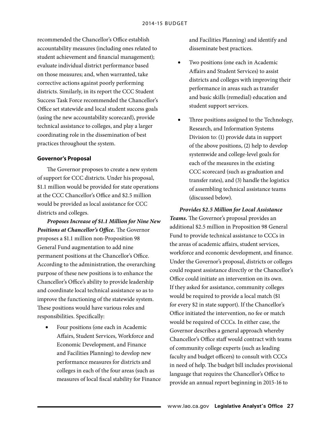recommended the Chancellor's Office establish accountability measures (including ones related to student achievement and financial management); evaluate individual district performance based on those measures; and, when warranted, take corrective actions against poorly performing districts. Similarly, in its report the CCC Student Success Task Force recommended the Chancellor's Office set statewide and local student success goals (using the new accountability scorecard), provide technical assistance to colleges, and play a larger coordinating role in the dissemination of best practices throughout the system.

### **Governor's Proposal**

The Governor proposes to create a new system of support for CCC districts. Under his proposal, \$1.1 million would be provided for state operations at the CCC Chancellor's Office and \$2.5 million would be provided as local assistance for CCC districts and colleges.

*Proposes Increase of \$1.1 Million for Nine New Positions at Chancellor's Office.* The Governor proposes a \$1.1 million non-Proposition 98 General Fund augmentation to add nine permanent positions at the Chancellor's Office. According to the administration, the overarching purpose of these new positions is to enhance the Chancellor's Office's ability to provide leadership and coordinate local technical assistance so as to improve the functioning of the statewide system. These positions would have various roles and responsibilities. Specifically:

Four positions (one each in Academic Affairs, Student Services, Workforce and Economic Development, and Finance and Facilities Planning) to develop new performance measures for districts and colleges in each of the four areas (such as measures of local fiscal stability for Finance and Facilities Planning) and identify and disseminate best practices.

- Two positions (one each in Academic Affairs and Student Services) to assist districts and colleges with improving their performance in areas such as transfer and basic skills (remedial) education and student support services.
- Three positions assigned to the Technology, Research, and Information Systems Division to: (1) provide data in support of the above positions, (2) help to develop systemwide and college-level goals for each of the measures in the existing CCC scorecard (such as graduation and transfer rates), and (3) handle the logistics of assembling technical assistance teams (discussed below).

*Provides \$2.5 Million for Local Assistance Teams.* The Governor's proposal provides an additional \$2.5 million in Proposition 98 General Fund to provide technical assistance to CCCs in the areas of academic affairs, student services, workforce and economic development, and finance. Under the Governor's proposal, districts or colleges could request assistance directly or the Chancellor's Office could initiate an intervention on its own. If they asked for assistance, community colleges would be required to provide a local match (\$1 for every \$2 in state support). If the Chancellor's Office initiated the intervention, no fee or match would be required of CCCs. In either case, the Governor describes a general approach whereby Chancellor's Office staff would contract with teams of community college experts (such as leading faculty and budget officers) to consult with CCCs in need of help. The budget bill includes provisional language that requires the Chancellor's Office to provide an annual report beginning in 2015-16 to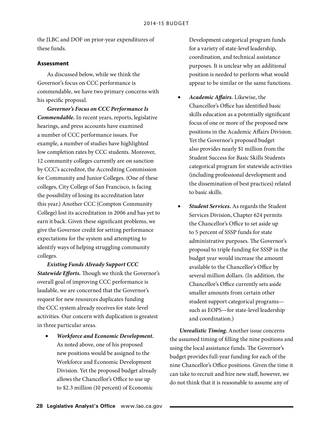the JLBC and DOF on prior-year expenditures of these funds.

### **Assessment**

As discussed below, while we think the Governor's focus on CCC performance is commendable, we have two primary concerns with his specific proposal.

*Governor's Focus on CCC Performance Is Commendable.* In recent years, reports, legislative hearings, and press accounts have examined a number of CCC performance issues. For example, a number of studies have highlighted low completion rates by CCC students. Moreover, 12 community colleges currently are on sanction by CCC's accreditor, the Accrediting Commission for Community and Junior Colleges. (One of these colleges, City College of San Francisco, is facing the possibility of losing its accreditation later this year.) Another CCC (Compton Community College) lost its accreditation in 2006 and has yet to earn it back. Given these significant problems, we give the Governor credit for setting performance expectations for the system and attempting to identify ways of helping struggling community colleges.

*Existing Funds Already Support CCC Statewide Efforts.* Though we think the Governor's overall goal of improving CCC performance is laudable, we are concerned that the Governor's request for new resources duplicates funding the CCC system already receives for state-level activities. Our concern with duplication is greatest in three particular areas.

**Workforce and Economic Development.** As noted above, one of his proposed new positions would be assigned to the Workforce and Economic Development Division. Yet the proposed budget already allows the Chancellor's Office to use up to \$2.3 million (10 percent) of Economic

Development categorical program funds for a variety of state-level leadership, coordination, and technical assistance purposes. It is unclear why an additional position is needed to perform what would appear to be similar or the same functions.

- Academic Affairs. Likewise, the Chancellor's Office has identified basic skills education as a potentially significant focus of one or more of the proposed new positions in the Academic Affairs Division. Yet the Governor's proposed budget also provides nearly \$1 million from the Student Success for Basic Skills Students categorical program for statewide activities (including professional development and the dissemination of best practices) related to basic skills.
- *Student Services.* As regards the Student Services Division, Chapter 624 permits the Chancellor's Office to set aside up to 5 percent of SSSP funds for state administrative purposes. The Governor's proposal to triple funding for SSSP in the budget year would increase the amount available to the Chancellor's Office by several million dollars. (In addition, the Chancellor's Office currently sets aside smaller amounts from certain other student support categorical programs such as EOPS—for state-level leadership and coordination.)

*Unrealistic Timing.* Another issue concerns the assumed timing of filling the nine positions and using the local assistance funds. The Governor's budget provides full-year funding for each of the nine Chancellor's Office positions. Given the time it can take to recruit and hire new staff, however, we do not think that it is reasonable to assume any of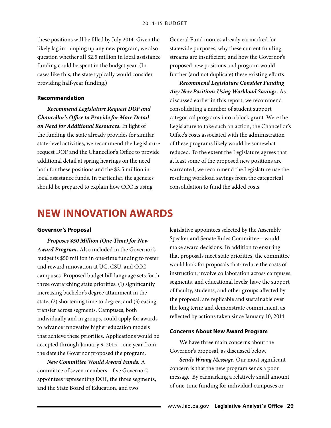these positions will be filled by July 2014. Given the likely lag in ramping up any new program, we also question whether all \$2.5 million in local assistance funding could be spent in the budget year. (In cases like this, the state typically would consider providing half-year funding.)

### **Recommendation**

*Recommend Legislature Request DOF and Chancellor's Office to Provide for More Detail on Need for Additional Resources.* In light of the funding the state already provides for similar state-level activities, we recommend the Legislature request DOF and the Chancellor's Office to provide additional detail at spring hearings on the need both for these positions and the \$2.5 million in local assistance funds. In particular, the agencies should be prepared to explain how CCC is using

General Fund monies already earmarked for statewide purposes, why these current funding streams are insufficient, and how the Governor's proposed new positions and program would further (and not duplicate) these existing efforts.

*Recommend Legislature Consider Funding Any New Positions Using Workload Savings.* As discussed earlier in this report, we recommend consolidating a number of student support categorical programs into a block grant. Were the Legislature to take such an action, the Chancellor's Office's costs associated with the administration of these programs likely would be somewhat reduced. To the extent the Legislature agrees that at least some of the proposed new positions are warranted, we recommend the Legislature use the resulting workload savings from the categorical consolidation to fund the added costs.

# **NEW INNOVATION AWARDS**

#### **Governor's Proposal**

*Proposes \$50 Million (One-Time) for New Award Program.* Also included in the Governor's budget is \$50 million in one-time funding to foster and reward innovation at UC, CSU, and CCC campuses. Proposed budget bill language sets forth three overarching state priorities: (1) significantly increasing bachelor's degree attainment in the state, (2) shortening time to degree, and (3) easing transfer across segments. Campuses, both individually and in groups, could apply for awards to advance innovative higher education models that achieve these priorities. Applications would be accepted through January 9, 2015—one year from the date the Governor proposed the program.

*New Committee Would Award Funds.* A committee of seven members—five Governor's appointees representing DOF, the three segments, and the State Board of Education, and two

legislative appointees selected by the Assembly Speaker and Senate Rules Committee—would make award decisions. In addition to ensuring that proposals meet state priorities, the committee would look for proposals that: reduce the costs of instruction; involve collaboration across campuses, segments, and educational levels; have the support of faculty, students, and other groups affected by the proposal; are replicable and sustainable over the long term; and demonstrate commitment, as reflected by actions taken since January 10, 2014.

#### **Concerns About New Award Program**

We have three main concerns about the Governor's proposal, as discussed below.

*Sends Wrong Message.* Our most significant concern is that the new program sends a poor message. By earmarking a relatively small amount of one-time funding for individual campuses or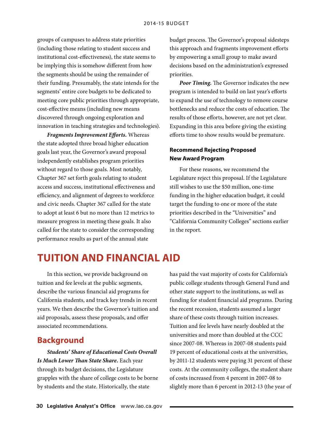groups of campuses to address state priorities (including those relating to student success and institutional cost-effectiveness), the state seems to be implying this is somehow different from how the segments should be using the remainder of their funding. Presumably, the state intends for the segments' entire core budgets to be dedicated to meeting core public priorities through appropriate, cost-effective means (including new means discovered through ongoing exploration and innovation in teaching strategies and technologies).

*Fragments Improvement Efforts.* Whereas the state adopted three broad higher education goals last year, the Governor's award proposal independently establishes program priorities without regard to those goals. Most notably, Chapter 367 set forth goals relating to student access and success, institutional effectiveness and efficiency, and alignment of degrees to workforce and civic needs. Chapter 367 called for the state to adopt at least 6 but no more than 12 metrics to measure progress in meeting these goals. It also called for the state to consider the corresponding performance results as part of the annual state

budget process. The Governor's proposal sidesteps this approach and fragments improvement efforts by empowering a small group to make award decisions based on the administration's expressed priorities.

*Poor Timing.* The Governor indicates the new program is intended to build on last year's efforts to expand the use of technology to remove course bottlenecks and reduce the costs of education. The results of those efforts, however, are not yet clear. Expanding in this area before giving the existing efforts time to show results would be premature.

### **Recommend Rejecting Proposed New Award Program**

For these reasons, we recommend the Legislature reject this proposal. If the Legislature still wishes to use the \$50 million, one-time funding in the higher education budget, it could target the funding to one or more of the state priorities described in the "Universities" and "California Community Colleges" sections earlier in the report.

# **TUITION AND FINANCIAL AID**

In this section, we provide background on tuition and fee levels at the public segments, describe the various financial aid programs for California students, and track key trends in recent years. We then describe the Governor's tuition and aid proposals, assess these proposals, and offer associated recommendations.

### **Background**

*Students' Share of Educational Costs Overall Is Much Lower Than State Share.* Each year through its budget decisions, the Legislature grapples with the share of college costs to be borne by students and the state. Historically, the state

has paid the vast majority of costs for California's public college students through General Fund and other state support to the institutions, as well as funding for student financial aid programs. During the recent recession, students assumed a larger share of these costs through tuition increases. Tuition and fee levels have nearly doubled at the universities and more than doubled at the CCC since 2007-08. Whereas in 2007-08 students paid 19 percent of educational costs at the universities, by 2011-12 students were paying 31 percent of these costs. At the community colleges, the student share of costs increased from 4 percent in 2007-08 to slightly more than 6 percent in 2012-13 (the year of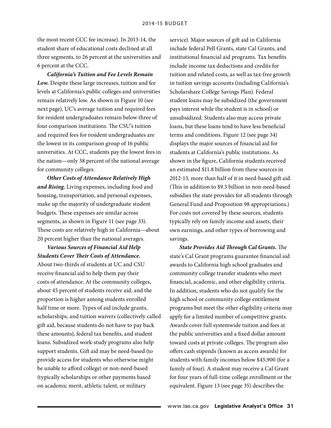the most recent CCC fee increase). In 2013-14, the student share of educational costs declined at all three segments, to 26 percent at the universities and 6 percent at the CCC.

*California's Tuition and Fee Levels Remain Low.* Despite these large increases, tuition and fee levels at California's public colleges and universities remain relatively low. As shown in Figure 10 (see next page), UC's average tuition and required fees for resident undergraduates remain below three of four comparison institutions. The CSU's tuition and required fees for resident undergraduates are the lowest in its comparison group of 16 public universities. At CCC, students pay the lowest fees in the nation—only 38 percent of the national average for community colleges.

*Other Costs of Attendance Relatively High and Rising.* Living expenses, including food and housing, transportation, and personal expenses, make up the majority of undergraduate student budgets. These expenses are similar across segments, as shown in Figure 11 (see page 33). These costs are relatively high in California—about 20 percent higher than the national averages.

*Various Sources of Financial Aid Help Students Cover Their Costs of Attendance.*  About two-thirds of students at UC and CSU receive financial aid to help them pay their costs of attendance. At the community colleges, about 45 percent of students receive aid, and the proportion is higher among students enrolled half time or more. Types of aid include grants, scholarships, and tuition waivers (collectively called gift aid, because students do not have to pay back these amounts), federal tax benefits, and student loans. Subsidized work-study programs also help support students. Gift aid may be need-based (to provide access for students who otherwise might be unable to afford college) or non-need-based (typically scholarships or other payments based on academic merit, athletic talent, or military

service). Major sources of gift aid in California include federal Pell Grants, state Cal Grants, and institutional financial aid programs. Tax benefits include income tax deductions and credits for tuition and related costs, as well as tax-free growth in tuition savings accounts (including California's Scholarshare College Savings Plan). Federal student loans may be subsidized (the government pays interest while the student is in school) or unsubsidized. Students also may access private loans, but these loans tend to have less beneficial terms and conditions. Figure 12 (see page 34) displays the major sources of financial aid for students at California's public institutions. As shown in the figure, California students received an estimated \$11.8 billion from these sources in 2012-13, more than half of it in need-based gift aid. (This in addition to \$9.3 billion in non-need-based subsidies the state provides for all students through General Fund and Proposition 98 appropriations.) For costs not covered by these sources, students typically rely on family income and assets, their own earnings, and other types of borrowing and savings.

*State Provides Aid Through Cal Grants.* The state's Cal Grant programs guarantee financial aid awards to California high school graduates and community college transfer students who meet financial, academic, and other eligibility criteria. In addition, students who do not qualify for the high school or community college entitlement programs but meet the other eligibility criteria may apply for a limited number of competitive grants. Awards cover full systemwide tuition and fees at the public universities and a fixed dollar amount toward costs at private colleges. The program also offers cash stipends (known as access awards) for students with family incomes below \$45,900 (for a family of four). A student may receive a Cal Grant for four years of full-time college enrollment or the equivalent. Figure 13 (see page 35) describes the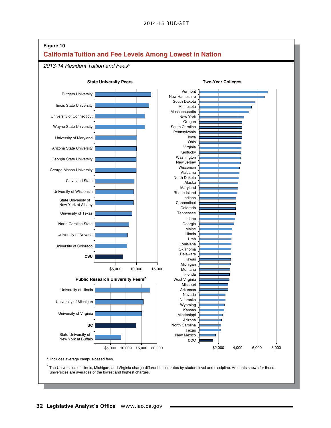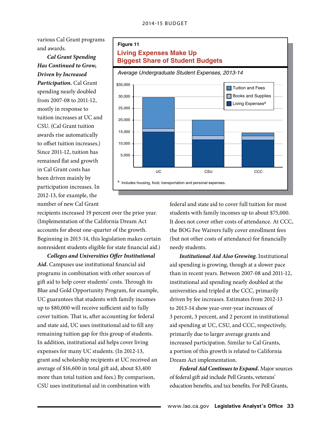various Cal Grant programs and awards.

*Cal Grant Spending Has Continued to Grow, Driven by Increased Participation.* Cal Grant spending nearly doubled from 2007-08 to 2011-12, mostly in response to tuition increases at UC and CSU. (Cal Grant tuition awards rise automatically to offset tuition increases.) Since 2011-12, tuition has remained flat and growth in Cal Grant costs has been driven mainly by participation increases. In 2012-13, for example, the number of new Cal Grant



recipients increased 19 percent over the prior year. (Implementation of the California Dream Act accounts for about one-quarter of the growth. Beginning in 2013-14, this legislation makes certain nonresident students eligible for state financial aid.)

*Colleges and Universities Offer Institutional Aid.* Campuses use institutional financial aid programs in combination with other sources of gift aid to help cover students' costs. Through its Blue and Gold Opportunity Program, for example, UC guarantees that students with family incomes up to \$80,000 will receive sufficient aid to fully cover tuition. That is, after accounting for federal and state aid, UC uses institutional aid to fill any remaining tuition gap for this group of students. In addition, institutional aid helps cover living expenses for many UC students. (In 2012-13, grant and scholarship recipients at UC received an average of \$16,600 in total gift aid, about \$3,400 more than total tuition and fees.) By comparison, CSU uses institutional aid in combination with

federal and state aid to cover full tuition for most students with family incomes up to about \$75,000. It does not cover other costs of attendance. At CCC, the BOG Fee Waivers fully cover enrollment fees (but not other costs of attendance) for financially needy students.

*Institutional Aid Also Growing.* Institutional aid spending is growing, though at a slower pace than in recent years. Between 2007-08 and 2011-12, institutional aid spending nearly doubled at the universities and tripled at the CCC, primarily driven by fee increases. Estimates from 2012-13 to 2013-14 show year-over-year increases of 3 percent, 3 percent, and 2 percent in institutional aid spending at UC, CSU, and CCC, respectively, primarily due to larger average grants and increased participation. Similar to Cal Grants, a portion of this growth is related to California Dream Act implementation.

*Federal Aid Continues to Expand.* Major sources of federal gift aid include Pell Grants, veterans' education benefits, and tax benefits. For Pell Grants,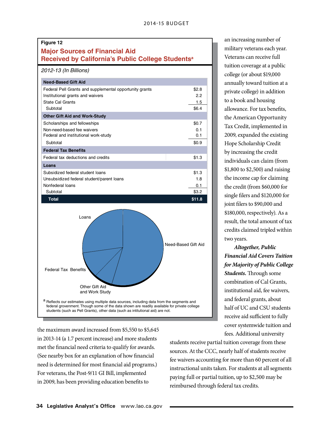### **Major Sources of Financial Aid Received by California's Public College Studentsa Figure 12**

| 2012-13 (In Billions)                                                    |                     |
|--------------------------------------------------------------------------|---------------------|
| <b>Need-Based Gift Aid</b>                                               |                     |
| Federal Pell Grants and supplemental opportunity grants                  | \$2.8               |
| Institutional grants and waivers                                         | 2.2                 |
| <b>State Cal Grants</b>                                                  | 1.5                 |
| Subtotal                                                                 | \$6.4               |
| <b>Other Gift Aid and Work-Study</b>                                     |                     |
| Scholarships and fellowships                                             | \$0.7               |
| Non-need-based fee waivers                                               | 0.1                 |
| Federal and institutional work-study                                     | 0.1                 |
| Subtotal                                                                 | \$0.9               |
| <b>Federal Tax Benefits</b>                                              |                     |
| Federal tax deductions and credits                                       | \$1.3               |
| Loans                                                                    |                     |
| Subsidized federal student loans                                         | \$1.3               |
| Unsubsidized federal student/parent loans                                | 1.8                 |
| Nonfederal loans                                                         | 0.1                 |
| Subtotal                                                                 | \$3.2               |
| <b>Total</b>                                                             | \$11.8              |
| Loans<br><b>Federal Tax Benefits</b><br>Other Gift Aid<br>and Work Study | Need-Based Gift Aid |

a Reflects our estimates using multiple data sources, including data from the segments and federal grovenment. Though some of the data shown are readily available for private college students (such as Pell Grants), other data (such as intitutional aid) are not.

the maximum award increased from \$5,550 to \$5,645 in 2013-14 (a 1.7 percent increase) and more students met the financial need criteria to qualify for awards. (See nearby box for an explanation of how financial need is determined for most financial aid programs.) For veterans, the Post-9/11 GI Bill, implemented in 2009, has been providing education benefits to

students receive partial tuition coverage from these sources. At the CCC, nearly half of students receive fee waivers accounting for more than 60 percent of all instructional units taken. For students at all segments paying full or partial tuition, up to \$2,500 may be reimbursed through federal tax credits.

an increasing number of military veterans each year. Veterans can receive full tuition coverage at a public college (or about \$19,000 annually toward tuition at a private college) in addition to a book and housing allowance. For tax benefits, the American Opportunity Tax Credit, implemented in 2009, expanded the existing Hope Scholarship Credit by increasing the credit individuals can claim (from \$1,800 to \$2,500) and raising the income cap for claiming the credit (from \$60,000 for single filers and \$120,000 for joint filers to \$90,000 and \$180,000, respectively). As a result, the total amount of tax credits claimed tripled within two years.

*Altogether, Public Financial Aid Covers Tuition for Majority of Public College Students.* Through some combination of Cal Grants, institutional aid, fee waivers, and federal grants, about half of UC and CSU students receive aid sufficient to fully cover systemwide tuition and fees. Additional university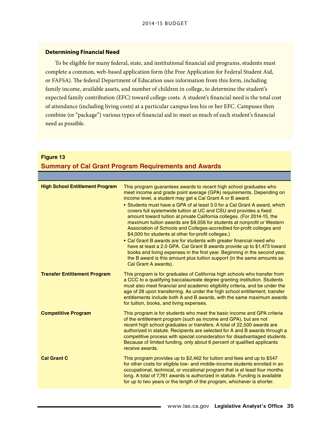### **Determining Financial Need**

To be eligible for many federal, state, and institutional financial aid programs, students must complete a common, web-based application form (the Free Application for Federal Student Aid, or FAFSA). The federal Department of Education uses information from this form, including family income, available assets, and number of children in college, to determine the student's expected family contribution (EFC) toward college costs. A student's financial need is the total cost of attendance (including living costs) at a particular campus less his or her EFC. Campuses then combine (or "package") various types of financial aid to meet as much of each student's financial need as possible.

| <b>High School Entitlement Program</b> | This program guarantees awards to recent high school graduates who<br>meet income and grade point average (GPA) requirements. Depending on<br>income level, a student may get a Cal Grant A or B award.<br>• Students must have a GPA of at least 3.0 for a Cal Grant A award, which<br>covers full systemwide tuition at UC and CSU and provides a fixed<br>amount toward tuition at private California colleges. (For 2014-15, the<br>maximum tuition awards are \$8,056 for students at nonprofit or Western<br>Association of Schools and Colleges-accredited for-profit colleges and<br>\$4,000 for students at other for-profit colleges.)<br>• Cal Grant B awards are for students with greater financial need who<br>have at least a 2.0 GPA. Cal Grant B awards provide up to \$1,473 toward<br>books and living expenses in the first year. Beginning in the second year,<br>the B award is this amount plus tuition support (in the same amounts as<br>Cal Grant A awards). |
|----------------------------------------|----------------------------------------------------------------------------------------------------------------------------------------------------------------------------------------------------------------------------------------------------------------------------------------------------------------------------------------------------------------------------------------------------------------------------------------------------------------------------------------------------------------------------------------------------------------------------------------------------------------------------------------------------------------------------------------------------------------------------------------------------------------------------------------------------------------------------------------------------------------------------------------------------------------------------------------------------------------------------------------|
| <b>Transfer Entitlement Program</b>    | This program is for graduates of California high schools who transfer from<br>a CCC to a qualifying baccalaureate degree granting institution. Students<br>must also meet financial and academic eligibility criteria, and be under the<br>age of 28 upon transferring. As under the high school entitlement, transfer<br>entitlements include both A and B awards, with the same maximum awards<br>for tuition, books, and living expenses.                                                                                                                                                                                                                                                                                                                                                                                                                                                                                                                                           |
| <b>Competitive Program</b>             | This program is for students who meet the basic income and GPA criteria<br>of the entitlement program (such as income and GPA), but are not<br>recent high school graduates or transfers. A total of 22,500 awards are<br>authorized in statute. Recipients are selected for A and B awards through a<br>competitive process with special consideration for disadvantaged students.<br>Because of limited funding, only about 6 percent of qualified applicants<br>receive awards.                                                                                                                                                                                                                                                                                                                                                                                                                                                                                                     |
| <b>Cal Grant C</b>                     | This program provides up to \$2,462 for tuition and fees and up to \$547<br>for other costs for eligible low- and middle-income students enrolled in an<br>occupational, technical, or vocational program that is at least four months<br>long. A total of 7,761 awards is authorized in statute. Funding is available<br>for up to two years or the length of the program, whichever is shorter.                                                                                                                                                                                                                                                                                                                                                                                                                                                                                                                                                                                      |

### **Figure 13 Summary of Cal Grant Program Requirements and Awards**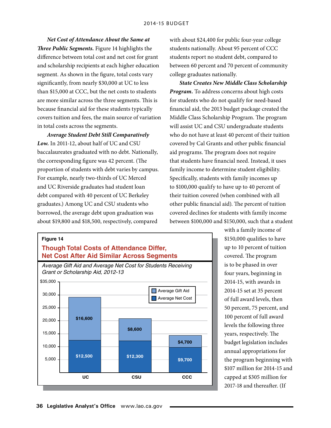*Net Cost of Attendance About the Same at Three Public Segments.* Figure 14 highlights the difference between total cost and net cost for grant and scholarship recipients at each higher education segment. As shown in the figure, total costs vary significantly, from nearly \$30,000 at UC to less than \$15,000 at CCC, but the net costs to students are more similar across the three segments. This is because financial aid for these students typically covers tuition and fees, the main source of variation in total costs across the segments.

*Average Student Debt Still Comparatively Low.* In 2011-12, about half of UC and CSU baccalaureates graduated with no debt. Nationally, the corresponding figure was 42 percent. (The proportion of students with debt varies by campus. For example, nearly two-thirds of UC Merced and UC Riverside graduates had student loan debt compared with 40 percent of UC Berkeley graduates.) Among UC and CSU students who borrowed, the average debt upon graduation was about \$19,800 and \$18,500, respectively, compared

with about \$24,400 for public four-year college students nationally. About 95 percent of CCC students report no student debt, compared to between 60 percent and 70 percent of community college graduates nationally.

*State Creates New Middle Class Scholarship Program.* To address concerns about high costs for students who do not qualify for need-based financial aid, the 2013 budget package created the Middle Class Scholarship Program. The program will assist UC and CSU undergraduate students who do not have at least 40 percent of their tuition covered by Cal Grants and other public financial aid programs. The program does not require that students have financial need. Instead, it uses family income to determine student eligibility. *Secretary* Specifically, students with family incomes up to \$100,000 qualify to have up to 40 percent of their tuition covered (when combined with all other public financial aid). The percent of tuition covered declines for students with family income between \$100,000 and \$150,000, such that a student



with a family income of \$150,000 qualifies to have up to 10 percent of tuition covered. The program is to be phased in over four years, beginning in 2014-15, with awards in 2014-15 set at 35 percent of full award levels, then 50 percent, 75 percent, and 100 percent of full award levels the following three years, respectively. The budget legislation includes annual appropriations for the program beginning with \$107 million for 2014-15 and capped at \$305 million for 2017-18 and thereafter. (If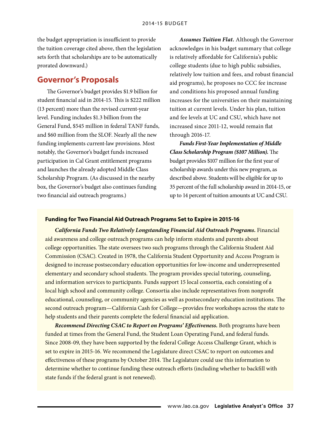the budget appropriation is insufficient to provide the tuition coverage cited above, then the legislation sets forth that scholarships are to be automatically prorated downward.)

### **Governor's Proposals**

The Governor's budget provides \$1.9 billion for student financial aid in 2014-15. This is \$222 million (13 percent) more than the revised current-year level. Funding includes \$1.3 billion from the General Fund, \$545 million in federal TANF funds, and \$60 million from the SLOF. Nearly all the new funding implements current-law provisions. Most notably, the Governor's budget funds increased participation in Cal Grant entitlement programs and launches the already adopted Middle Class Scholarship Program. (As discussed in the nearby box, the Governor's budget also continues funding two financial aid outreach programs.)

*Assumes Tuition Flat.* Although the Governor acknowledges in his budget summary that college is relatively affordable for California's public college students (due to high public subsidies, relatively low tuition and fees, and robust financial aid programs), he proposes no CCC fee increase and conditions his proposed annual funding increases for the universities on their maintaining tuition at current levels. Under his plan, tuition and fee levels at UC and CSU, which have not increased since 2011-12, would remain flat through 2016-17.

*Funds First-Year Implementation of Middle Class Scholarship Program (\$107 Million).* The budget provides \$107 million for the first year of scholarship awards under this new program, as described above. Students will be eligible for up to 35 percent of the full scholarship award in 2014-15, or up to 14 percent of tuition amounts at UC and CSU.

### **Funding for Two Financial Aid Outreach Programs Set to Expire in 2015-16**

*California Funds Two Relatively Longstanding Financial Aid Outreach Programs.* Financial aid awareness and college outreach programs can help inform students and parents about college opportunities. The state oversees two such programs through the California Student Aid Commission (CSAC). Created in 1978, the California Student Opportunity and Access Program is designed to increase postsecondary education opportunities for low-income and underrepresented elementary and secondary school students. The program provides special tutoring, counseling, and information services to participants. Funds support 15 local consortia, each consisting of a local high school and community college. Consortia also include representatives from nonprofit educational, counseling, or community agencies as well as postsecondary education institutions. The second outreach program—California Cash for College—provides free workshops across the state to help students and their parents complete the federal financial aid application.

*Recommend Directing CSAC to Report on Programs' Effectiveness.* Both programs have been funded at times from the General Fund, the Student Loan Operating Fund, and federal funds. Since 2008-09, they have been supported by the federal College Access Challenge Grant, which is set to expire in 2015-16. We recommend the Legislature direct CSAC to report on outcomes and effectiveness of these programs by October 2014. The Legislature could use this information to determine whether to continue funding these outreach efforts (including whether to backfill with state funds if the federal grant is not renewed).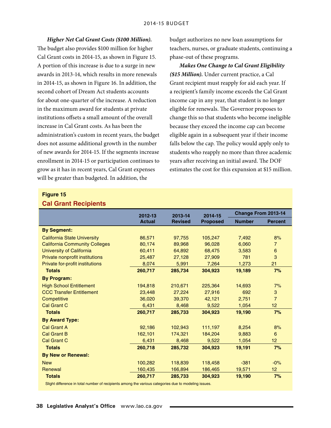*Higher Net Cal Grant Costs (\$100 Million).*  The budget also provides \$100 million for higher Cal Grant costs in 2014-15, as shown in Figure 15. A portion of this increase is due to a surge in new awards in 2013-14, which results in more renewals in 2014-15, as shown in Figure 16. In addition, the second cohort of Dream Act students accounts for about one-quarter of the increase. A reduction in the maximum award for students at private institutions offsets a small amount of the overall increase in Cal Grant costs. As has been the administration's custom in recent years, the budget does not assume additional growth in the number of new awards for 2014-15. If the segments increase enrollment in 2014-15 or participation continues to grow as it has in recent years, Cal Grant expenses will be greater than budgeted. In addition, the

budget authorizes no new loan assumptions for teachers, nurses, or graduate students, continuing a phase-out of these programs.

*Makes One Change to Cal Grant Eligibility (\$15 Million).* Under current practice, a Cal Grant recipient must reapply for aid each year. If a recipient's family income exceeds the Cal Grant income cap in any year, that student is no longer eligible for renewals. The Governor proposes to change this so that students who become ineligible because they exceed the income cap can become eligible again in a subsequent year if their income falls below the cap. The policy would apply only to students who reapply no more than three academic years after receiving an initial award. The DOF estimates the cost for this expansion at \$15 million.

### **Figure 15**

|  | <b>Cal Grant Recipients</b> |  |  |
|--|-----------------------------|--|--|
|--|-----------------------------|--|--|

|                                                                                                     | 2012-13       | 2013-14        | 2014-15         |               | Change From 2013-14       |
|-----------------------------------------------------------------------------------------------------|---------------|----------------|-----------------|---------------|---------------------------|
|                                                                                                     | <b>Actual</b> | <b>Revised</b> | <b>Proposed</b> | <b>Number</b> | <b>Percent</b>            |
| <b>By Segment:</b>                                                                                  |               |                |                 |               |                           |
| <b>California State University</b>                                                                  | 86,571        | 97,755         | 105,247         | 7,492         | 8%                        |
| <b>California Community Colleges</b>                                                                | 80,174        | 89,968         | 96,028          | 6,060         | $\overline{7}$            |
| University of California                                                                            | 60,411        | 64,892         | 68,475          | 3,583         | 6                         |
| Private nonprofit institutions                                                                      | 25,487        | 27,128         | 27,909          | 781           | 3                         |
| Private for-profit institutions                                                                     | 8,074         | 5,991          | 7,264           | 1,273         | 21                        |
| <b>Totals</b>                                                                                       | 260,717       | 285,734        | 304,923         | 19,189        | 7%                        |
| <b>By Program:</b>                                                                                  |               |                |                 |               |                           |
| <b>High School Entitlement</b>                                                                      | 194,818       | 210,671        | 225,364         | 14.693        | 7%                        |
| <b>CCC Transfer Entitlement</b>                                                                     | 23,448        | 27,224         | 27,916          | 692           | $\ensuremath{\mathsf{3}}$ |
| Competitive                                                                                         | 36,020        | 39,370         | 42,121          | 2,751         | $\overline{7}$            |
| <b>Cal Grant C</b>                                                                                  | 6,431         | 8,468          | 9,522           | 1,054         | 12 <sub>2</sub>           |
| <b>Totals</b>                                                                                       | 260,717       | 285,733        | 304,923         | 19,190        | 7%                        |
| <b>By Award Type:</b>                                                                               |               |                |                 |               |                           |
| <b>Cal Grant A</b>                                                                                  | 92.186        | 102.943        | 111,197         | 8,254         | 8%                        |
| <b>Cal Grant B</b>                                                                                  | 162,101       | 174,321        | 184,204         | 9,883         | $6\phantom{1}6$           |
| <b>Cal Grant C</b>                                                                                  | 6,431         | 8,468          | 9,522           | 1,054         | 12 <sub>2</sub>           |
| <b>Totals</b>                                                                                       | 260,718       | 285,732        | 304,923         | 19,191        | 7%                        |
| <b>By New or Renewal:</b>                                                                           |               |                |                 |               |                           |
| <b>New</b>                                                                                          | 100,282       | 118,839        | 118,458         | $-381$        | $-0%$                     |
| Renewal                                                                                             | 160,435       | 166,894        | 186,465         | 19,571        | 12 <sub>2</sub>           |
| <b>Totals</b>                                                                                       | 260,717       | 285,733        | 304.923         | 19,190        | 7%                        |
| Clight difference in total number of reginiante emeny the verious estegaries due to modeling issues |               |                |                 |               |                           |

Slight difference in total number of recipients among the various categories due to modeling issues.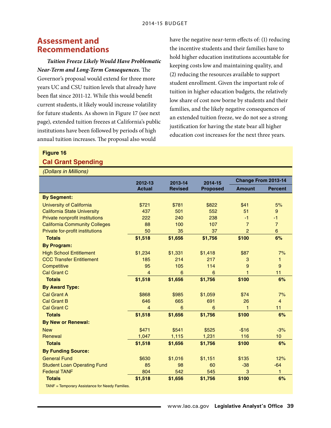### **Assessment and Recommendations**

*Tuition Freeze Likely Would Have Problematic Near-Term and Long-Term Consequences.* The Governor's proposal would extend for three more years UC and CSU tuition levels that already have been flat since 2011-12. While this would benefit current students, it likely would increase volatility for future students. As shown in Figure 17 (see next page), extended tuition freezes at California's public institutions have been followed by periods of high annual tuition increases. The proposal also would

have the negative near-term effects of: (1) reducing the incentive students and their families have to hold higher education institutions accountable for keeping costs low and maintaining quality, and (2) reducing the resources available to support student enrollment. Given the important role of tuition in higher education budgets, the relatively low share of cost now borne by students and their families, and the likely negative consequences of an extended tuition freeze, we do not see a strong justification for having the state bear all higher education cost increases for the next three years.

# **Figure 16**

**Cal Grant Spending**

| (Dollars in Millions)                           |                |                |                 |                     |                  |
|-------------------------------------------------|----------------|----------------|-----------------|---------------------|------------------|
|                                                 | 2012-13        | 2013-14        | 2014-15         | Change From 2013-14 |                  |
|                                                 | <b>Actual</b>  | <b>Revised</b> | <b>Proposed</b> | <b>Amount</b>       | <b>Percent</b>   |
| <b>By Segment:</b>                              |                |                |                 |                     |                  |
| University of California                        | \$721          | \$781          | \$822           | \$41                | 5%               |
| <b>California State University</b>              | 437            | 501            | 552             | 51                  | 9                |
| Private nonprofit institutions                  | 222            | 240            | 238             | $-1$                | $-1$             |
| <b>California Community Colleges</b>            | 88             | 100            | 107             | $\overline{7}$      | $\overline{7}$   |
| Private for-profit institutions                 | 50             | 35             | 37              | $\overline{2}$      | 6                |
| <b>Totals</b>                                   | \$1,518        | \$1,656        | \$1,756         | \$100               | 6%               |
| <b>By Program:</b>                              |                |                |                 |                     |                  |
| <b>High School Entitlement</b>                  | \$1,234        | \$1,331        | \$1,418         | \$87                | 7%               |
| <b>CCC Transfer Entitlement</b>                 | 185            | 214            | 217             | 3                   | 1.               |
| Competitive                                     | 95             | 105            | 114             | 9                   | $\boldsymbol{9}$ |
| <b>Cal Grant C</b>                              | $\overline{4}$ | 6              | 6               | 1                   | 11               |
| <b>Totals</b>                                   | \$1,518        | \$1,656        | \$1,756         | \$100               | 6%               |
| <b>By Award Type:</b>                           |                |                |                 |                     |                  |
| <b>Cal Grant A</b>                              | \$868          | \$985          | \$1,059         | \$74                | 7%               |
| <b>Cal Grant B</b>                              | 646            | 665            | 691             | 26                  | $\overline{4}$   |
| <b>Cal Grant C</b>                              | $\overline{4}$ | 6              | 6               | 1                   | 11               |
| <b>Totals</b>                                   | \$1,518        | \$1,656        | \$1,756         | \$100               | 6%               |
| <b>By New or Renewal:</b>                       |                |                |                 |                     |                  |
| <b>New</b>                                      | \$471          | \$541          | \$525           | $-$16$              | $-3%$            |
| Renewal                                         | 1,047          | 1,115          | 1,231           | 116                 | 10               |
| <b>Totals</b>                                   | \$1,518        | \$1,656        | \$1,756         | \$100               | 6%               |
| <b>By Funding Source:</b>                       |                |                |                 |                     |                  |
| <b>General Fund</b>                             | \$630          | \$1,016        | \$1,151         | \$135               | 12%              |
| <b>Student Loan Operating Fund</b>              | 85             | 98             | 60              | $-38$               | $-64$            |
| <b>Federal TANF</b>                             | 804            | 542            | 545             | 3                   | $\mathbf{1}$     |
| <b>Totals</b>                                   | \$1,518        | \$1,656        | \$1,756         | \$100               | 6%               |
| TANF = Temporary Assistance for Needy Families. |                |                |                 |                     |                  |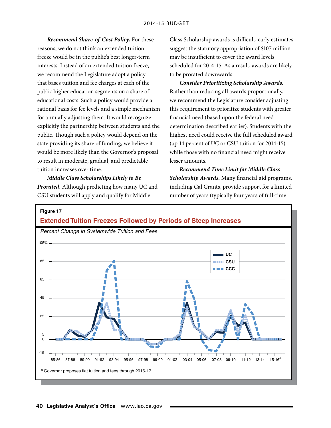*Recommend Share-of-Cost Policy.* For these reasons, we do not think an extended tuition freeze would be in the public's best longer-term interests. Instead of an extended tuition freeze, we recommend the Legislature adopt a policy that bases tuition and fee charges at each of the public higher education segments on a share of educational costs. Such a policy would provide a rational basis for fee levels and a simple mechanism for annually adjusting them. It would recognize explicitly the partnership between students and the public. Though such a policy would depend on the state providing its share of funding, we believe it would be more likely than the Governor's proposal to result in moderate, gradual, and predictable tuition increases over time.

*Middle Class Scholarships Likely to Be Prorated.* Although predicting how many UC and CSU students will apply and qualify for Middle

Class Scholarship awards is difficult, early estimates suggest the statutory appropriation of \$107 million may be insufficient to cover the award levels scheduled for 2014-15. As a result, awards are likely to be prorated downwards.

*Consider Prioritizing Scholarship Awards.*  Rather than reducing all awards proportionally, we recommend the Legislature consider adjusting this requirement to prioritize students with greater financial need (based upon the federal need determination described earlier). Students with the highest need could receive the full scheduled award (up 14 percent of UC or CSU tuition for 2014-15) while those with no financial need might receive lesser amounts.

*Recommend Time Limit for Middle Class Scholarship Awards.* Many financial aid programs, including Cal Grants, provide support for a limited number of years (typically four years of full-time

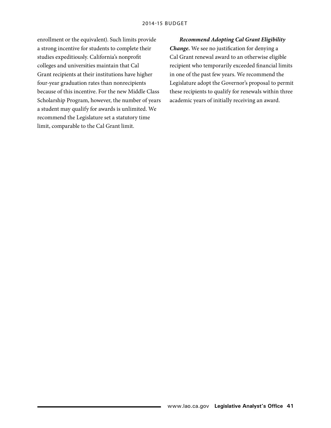enrollment or the equivalent). Such limits provide a strong incentive for students to complete their studies expeditiously. California's nonprofit colleges and universities maintain that Cal Grant recipients at their institutions have higher four-year graduation rates than nonrecipients because of this incentive. For the new Middle Class Scholarship Program, however, the number of years a student may qualify for awards is unlimited. We recommend the Legislature set a statutory time limit, comparable to the Cal Grant limit.

*Recommend Adopting Cal Grant Eligibility Change.* We see no justification for denying a Cal Grant renewal award to an otherwise eligible recipient who temporarily exceeded financial limits in one of the past few years. We recommend the Legislature adopt the Governor's proposal to permit these recipients to qualify for renewals within three academic years of initially receiving an award.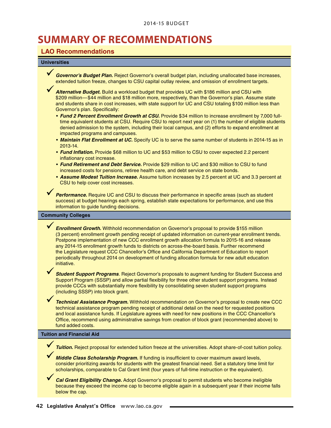# **SUMMARY OF RECOMMENDATIONS**

### **LAO Recommendations**

#### **Universities**

9*Governor's Budget Plan.* Reject Governor's overall budget plan, including unallocated base increases, extended tuition freeze, changes to CSU capital outlay review, and omission of enrollment targets.

9*Alternative Budget.* Build a workload budget that provides UC with \$186 million and CSU with \$209 million—\$44 million and \$18 million more, respectively, than the Governor's plan. Assume state and students share in cost increases, with state support for UC and CSU totaling \$100 million less than Governor's plan. Specifically:

- *Fund 2 Percent Enrollment Growth at CSU.* Provide \$34 million to increase enrollment by 7,000 fulltime equivalent students at CSU. Require CSU to report next year on (1) the number of eligible students denied admission to the system, including their local campus, and (2) efforts to expand enrollment at impacted programs and campuses.
- *Maintain Flat Enrollment at UC.* Specify UC is to serve the same number of students in 2014-15 as in 2013-14.
- *Fund Inflation.* Provide \$68 million to UC and \$53 million to CSU to cover expected 2.2 percent inflationary cost increase.
- *Fund Retirement and Debt Service.* Provide \$29 million to UC and \$30 million to CSU to fund increased costs for pensions, retiree health care, and debt service on state bonds.
- *Assume Modest Tuition Increase.* Assume tuition increases by 2.5 percent at UC and 3.3 percent at CSU to help cover cost increases.

9*Performance.* Require UC and CSU to discuss their performance in specific areas (such as student success) at budget hearings each spring, establish state expectations for performance, and use this information to guide funding decisions.

#### **Community Colleges**

**Enrollment Growth.** Withhold recommendation on Governor's proposal to provide \$155 million (3 percent) enrollment growth pending receipt of updated information on current-year enrollment trends. Postpone implementation of new CCC enrollment growth allocation formula to 2015-16 and release any 2014-15 enrollment growth funds to districts on across-the-board basis. Further recommend the Legislature request CCC Chancellor's Office and California Department of Education to report periodically throughout 2014 on development of funding allocation formula for new adult education initiative.

9*Student Support Programs*. Reject Governor's proposals to augment funding for Student Success and Support Program (SSSP) and allow partial flexibility for three other student support programs. Instead provide CCCs with substantially more flexibility by consolidating seven student support programs (including SSSP) into block grant.

**Technical Assistance Program.** Withhold recommendation on Governor's proposal to create new CCC technical assistance program pending receipt of additional detail on the need for requested positions and local assistance funds. If Legislature agrees with need for new positions in the CCC Chancellor's Office, recommend using administrative savings from creation of block grant (recommended above) to fund added costs.

#### **Tuition and Financial Aid**

**Tuition.** Reject proposal for extended tuition freeze at the universities. Adopt share-of-cost tuition policy.

9 *Middle Class Scholarship Program.* If funding is insufficient to cover maximum award levels, consider prioritizing awards for students with the greatest financial need. Set a statutory time limit for scholarships, comparable to Cal Grant limit (four years of full-time instruction or the equivalent).

9*Cal Grant Eligibility Change.* Adopt Governor's proposal to permit students who become ineligible because they exceed the income cap to become eligible again in a subsequent year if their income falls below the cap.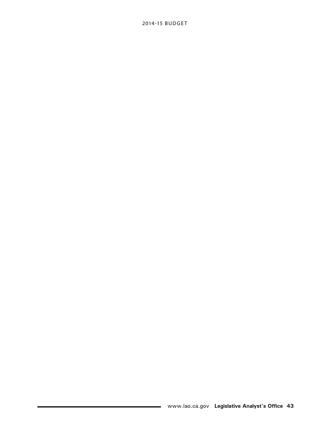$\blacksquare$